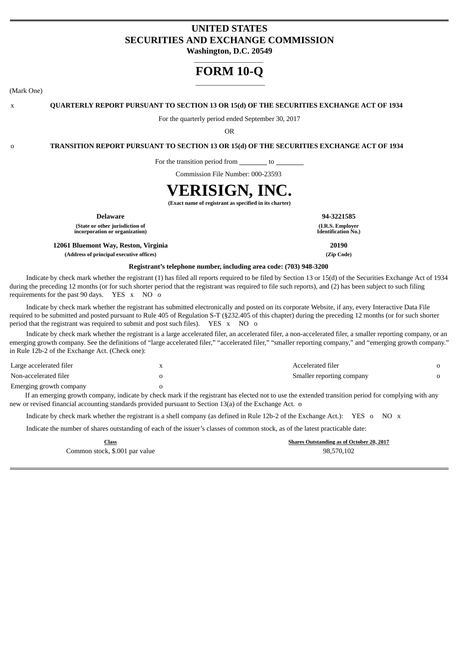# **UNITED STATES SECURITIES AND EXCHANGE COMMISSION**

**Washington, D.C. 20549** \_\_\_\_\_\_\_\_\_\_\_\_\_\_\_\_\_\_\_\_

# **FORM 10-Q**

\_\_\_\_\_\_\_\_\_\_\_\_\_\_\_\_\_\_\_\_

(Mark One)

x **QUARTERLY REPORT PURSUANT TO SECTION 13 OR 15(d) OF THE SECURITIES EXCHANGE ACT OF 1934**

For the quarterly period ended September 30, 2017

OR

o **TRANSITION REPORT PURSUANT TO SECTION 13 OR 15(d) OF THE SECURITIES EXCHANGE ACT OF 1934**

For the transition period from  $\_\_\_\_\_$  to  $\_\_\_\$ 

Commission File Number: 000-23593



**(Exact name of registrant as specified in its charter)**

**Delaware 94-3221585 (State or other jurisdiction of**

**incorporation or organization)**

**12061 Bluemont Way, Reston, Virginia 20190 (Address of principal executive offices) (Zip Code)**

**(I.R.S. Employer Identification No.)**

**Registrant's telephone number, including area code: (703) 948-3200**

Indicate by check mark whether the registrant (1) has filed all reports required to be filed by Section 13 or 15(d) of the Securities Exchange Act of 1934 during the preceding 12 months (or for such shorter period that the registrant was required to file such reports), and (2) has been subject to such filing requirements for the past 90 days. YES x NO o

Indicate by check mark whether the registrant has submitted electronically and posted on its corporate Website, if any, every Interactive Data File required to be submitted and posted pursuant to Rule 405 of Regulation S-T (§232.405 of this chapter) during the preceding 12 months (or for such shorter period that the registrant was required to submit and post such files). YES x NO o

Indicate by check mark whether the registrant is a large accelerated filer, an accelerated filer, a non-accelerated filer, a smaller reporting company, or an emerging growth company. See the definitions of "large accelerated filer," "accelerated filer," "smaller reporting company," and "emerging growth company." in Rule 12b-2 of the Exchange Act. (Check one):

| Large accelerated filer | Accelerated filer         |  |
|-------------------------|---------------------------|--|
| Non-accelerated filer   | Smaller reporting company |  |
| Emerging growth company |                           |  |

If an emerging growth company, indicate by check mark if the registrant has elected not to use the extended transition period for complying with any new or revised financial accounting standards provided pursuant to Section 13(a) of the Exchange Act. o

Indicate by check mark whether the registrant is a shell company (as defined in Rule 12b-2 of the Exchange Act.): YES o NO x

Indicate the number of shares outstanding of each of the issuer's classes of common stock, as of the latest practicable date:

Common stock, \$.001 par value 98,570,102

**Class Shares Outstanding as of October 20, 2017**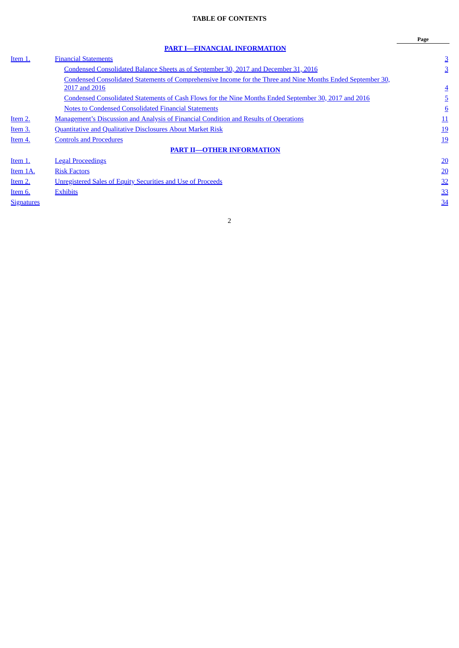# **TABLE OF CONTENTS**

**Page**

# **PART I—FINANCIAL [INFORMATION](#page-2-0)**

<span id="page-1-0"></span>

| Item 1.           | <b>Financial Statements</b>                                                                                                  | $\overline{3}$   |
|-------------------|------------------------------------------------------------------------------------------------------------------------------|------------------|
|                   | Condensed Consolidated Balance Sheets as of September 30, 2017 and December 31, 2016                                         | $\overline{3}$   |
|                   | Condensed Consolidated Statements of Comprehensive Income for the Three and Nine Months Ended September 30,<br>2017 and 2016 | 4                |
|                   | Condensed Consolidated Statements of Cash Flows for the Nine Months Ended September 30, 2017 and 2016                        |                  |
|                   | <b>Notes to Condensed Consolidated Financial Statements</b>                                                                  | $6\overline{6}$  |
| Item 2.           | <b>Management's Discussion and Analysis of Financial Condition and Results of Operations</b>                                 | $\underline{11}$ |
| Item 3.           | <b>Quantitative and Qualitative Disclosures About Market Risk</b>                                                            | <u>19</u>        |
| Item 4.           | <b>Controls and Procedures</b>                                                                                               | <u>19</u>        |
|                   | <b>PART II-OTHER INFORMATION</b>                                                                                             |                  |
| Item 1.           | <b>Legal Proceedings</b>                                                                                                     | 20               |
| Item 1A.          | <b>Risk Factors</b>                                                                                                          | 20               |
| Item 2.           | <b>Unregistered Sales of Equity Securities and Use of Proceeds</b>                                                           | 32               |
| Item 6.           | <b>Exhibits</b>                                                                                                              | 33               |
| <b>Signatures</b> |                                                                                                                              | 34               |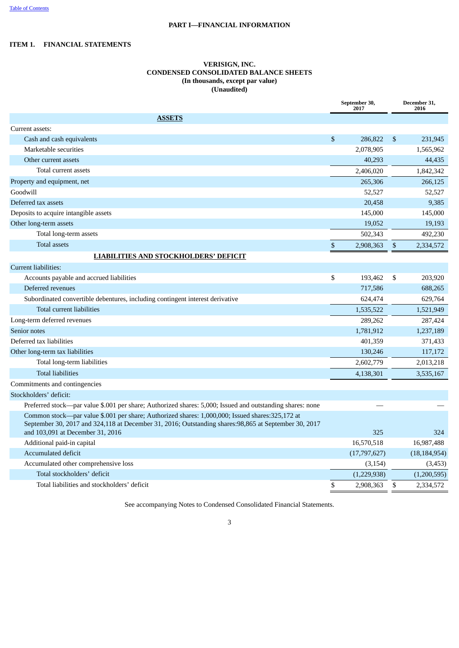# **PART I—FINANCIAL INFORMATION**

# <span id="page-2-1"></span><span id="page-2-0"></span>**ITEM 1. FINANCIAL STATEMENTS**

## **VERISIGN, INC. CONDENSED CONSOLIDATED BALANCE SHEETS (In thousands, except par value) (Unaudited)**

|                                                                                                                                                                                                                                              | September 30,<br>2017 |              | December 31,<br>2016 |                |
|----------------------------------------------------------------------------------------------------------------------------------------------------------------------------------------------------------------------------------------------|-----------------------|--------------|----------------------|----------------|
| <b>ASSETS</b>                                                                                                                                                                                                                                |                       |              |                      |                |
| Current assets:                                                                                                                                                                                                                              |                       |              |                      |                |
| Cash and cash equivalents                                                                                                                                                                                                                    | \$                    | 286,822      | \$                   | 231,945        |
| Marketable securities                                                                                                                                                                                                                        |                       | 2,078,905    |                      | 1,565,962      |
| Other current assets                                                                                                                                                                                                                         |                       | 40,293       |                      | 44,435         |
| Total current assets                                                                                                                                                                                                                         |                       | 2,406,020    |                      | 1,842,342      |
| Property and equipment, net                                                                                                                                                                                                                  |                       | 265,306      |                      | 266,125        |
| Goodwill                                                                                                                                                                                                                                     |                       | 52,527       |                      | 52,527         |
| Deferred tax assets                                                                                                                                                                                                                          |                       | 20,458       |                      | 9,385          |
| Deposits to acquire intangible assets                                                                                                                                                                                                        |                       | 145,000      |                      | 145,000        |
| Other long-term assets                                                                                                                                                                                                                       |                       | 19,052       |                      | 19,193         |
| Total long-term assets                                                                                                                                                                                                                       |                       | 502,343      |                      | 492,230        |
| <b>Total assets</b>                                                                                                                                                                                                                          | $\mathbb{S}$          | 2.908.363    | $\mathbb{S}$         | 2,334,572      |
| <b>LIABILITIES AND STOCKHOLDERS' DEFICIT</b>                                                                                                                                                                                                 |                       |              |                      |                |
| Current liabilities:                                                                                                                                                                                                                         |                       |              |                      |                |
| Accounts payable and accrued liabilities                                                                                                                                                                                                     | \$                    | 193,462      | \$                   | 203,920        |
| Deferred revenues                                                                                                                                                                                                                            |                       | 717,586      |                      | 688,265        |
| Subordinated convertible debentures, including contingent interest derivative                                                                                                                                                                |                       | 624,474      |                      | 629,764        |
| Total current liabilities                                                                                                                                                                                                                    |                       | 1,535,522    |                      | 1,521,949      |
| Long-term deferred revenues                                                                                                                                                                                                                  |                       | 289,262      |                      | 287,424        |
| Senior notes                                                                                                                                                                                                                                 |                       | 1,781,912    |                      | 1,237,189      |
| Deferred tax liabilities                                                                                                                                                                                                                     |                       | 401,359      |                      | 371,433        |
| Other long-term tax liabilities                                                                                                                                                                                                              |                       | 130,246      |                      | 117,172        |
| Total long-term liabilities                                                                                                                                                                                                                  |                       | 2,602,779    |                      | 2,013,218      |
| <b>Total liabilities</b>                                                                                                                                                                                                                     |                       | 4,138,301    |                      | 3,535,167      |
| Commitments and contingencies                                                                                                                                                                                                                |                       |              |                      |                |
| Stockholders' deficit:                                                                                                                                                                                                                       |                       |              |                      |                |
| Preferred stock—par value \$.001 per share; Authorized shares: 5,000; Issued and outstanding shares: none                                                                                                                                    |                       |              |                      |                |
| Common stock—par value \$.001 per share; Authorized shares: 1,000,000; Issued shares:325,172 at<br>September 30, 2017 and 324,118 at December 31, 2016; Outstanding shares: 98,865 at September 30, 2017<br>and 103,091 at December 31, 2016 |                       | 325          |                      | 324            |
| Additional paid-in capital                                                                                                                                                                                                                   |                       | 16,570,518   |                      | 16,987,488     |
| Accumulated deficit                                                                                                                                                                                                                          |                       | (17,797,627) |                      | (18, 184, 954) |
| Accumulated other comprehensive loss                                                                                                                                                                                                         |                       | (3, 154)     |                      | (3, 453)       |
| Total stockholders' deficit                                                                                                                                                                                                                  |                       | (1,229,938)  |                      | (1,200,595)    |
| Total liabilities and stockholders' deficit                                                                                                                                                                                                  | \$                    | 2,908,363    | \$                   | 2,334,572      |
|                                                                                                                                                                                                                                              |                       |              |                      |                |

See accompanying Notes to Condensed Consolidated Financial Statements.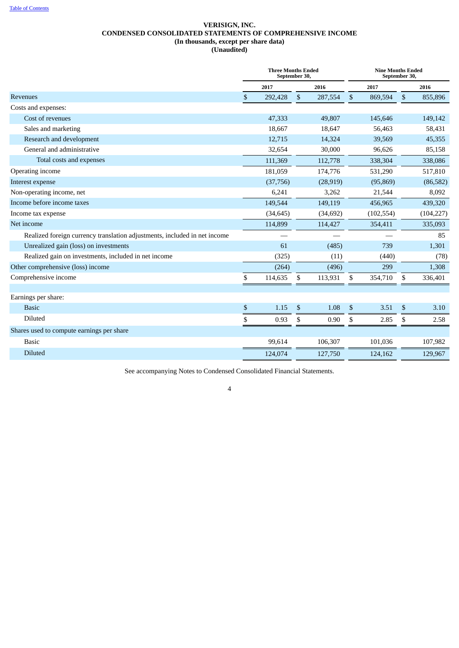## **VERISIGN, INC. CONDENSED CONSOLIDATED STATEMENTS OF COMPREHENSIVE INCOME (In thousands, except per share data) (Unaudited)**

<span id="page-3-0"></span>

|                                                                           | <b>Three Months Ended</b><br>September 30. |           |    |           |                | <b>Nine Months Ended</b><br>September 30. |                |            |
|---------------------------------------------------------------------------|--------------------------------------------|-----------|----|-----------|----------------|-------------------------------------------|----------------|------------|
|                                                                           |                                            | 2017      |    | 2016      |                | 2017                                      |                | 2016       |
| Revenues                                                                  | \$                                         | 292,428   | \$ | 287,554   | $\mathfrak{S}$ | 869,594                                   | $\mathfrak{S}$ | 855,896    |
| Costs and expenses:                                                       |                                            |           |    |           |                |                                           |                |            |
| Cost of revenues                                                          |                                            | 47,333    |    | 49,807    |                | 145,646                                   |                | 149,142    |
| Sales and marketing                                                       |                                            | 18,667    |    | 18,647    |                | 56,463                                    |                | 58,431     |
| Research and development                                                  |                                            | 12,715    |    | 14,324    |                | 39,569                                    |                | 45,355     |
| General and administrative                                                |                                            | 32,654    |    | 30,000    |                | 96,626                                    |                | 85,158     |
| Total costs and expenses                                                  |                                            | 111,369   |    | 112,778   |                | 338,304                                   |                | 338,086    |
| Operating income                                                          |                                            | 181,059   |    | 174,776   |                | 531,290                                   |                | 517,810    |
| Interest expense                                                          |                                            | (37,756)  |    | (28,919)  |                | (95, 869)                                 |                | (86, 582)  |
| Non-operating income, net                                                 |                                            | 6,241     |    | 3,262     |                | 21,544                                    |                | 8,092      |
| Income before income taxes                                                |                                            | 149,544   |    | 149,119   |                | 456,965                                   |                | 439,320    |
| Income tax expense                                                        |                                            | (34, 645) |    | (34, 692) |                | (102, 554)                                |                | (104, 227) |
| Net income                                                                |                                            | 114,899   |    | 114,427   |                | 354,411                                   |                | 335,093    |
| Realized foreign currency translation adjustments, included in net income |                                            |           |    |           |                |                                           |                | 85         |
| Unrealized gain (loss) on investments                                     |                                            | 61        |    | (485)     |                | 739                                       |                | 1,301      |
| Realized gain on investments, included in net income                      |                                            | (325)     |    | (11)      |                | (440)                                     |                | (78)       |
| Other comprehensive (loss) income                                         |                                            | (264)     |    | (496)     |                | 299                                       |                | 1,308      |
| Comprehensive income                                                      | \$                                         | 114,635   | \$ | 113,931   | \$             | 354,710                                   | \$             | 336,401    |
|                                                                           |                                            |           |    |           |                |                                           |                |            |
| Earnings per share:                                                       |                                            |           |    |           |                |                                           |                |            |
| <b>Basic</b>                                                              | \$                                         | 1.15      | \$ | 1.08      | \$             | 3.51                                      | \$             | 3.10       |
| Diluted                                                                   | \$                                         | 0.93      | \$ | 0.90      | \$             | 2.85                                      | \$             | 2.58       |
| Shares used to compute earnings per share                                 |                                            |           |    |           |                |                                           |                |            |
| <b>Basic</b>                                                              |                                            | 99,614    |    | 106,307   |                | 101,036                                   |                | 107,982    |
| <b>Diluted</b>                                                            |                                            | 124,074   |    | 127,750   |                | 124,162                                   |                | 129,967    |

See accompanying Notes to Condensed Consolidated Financial Statements.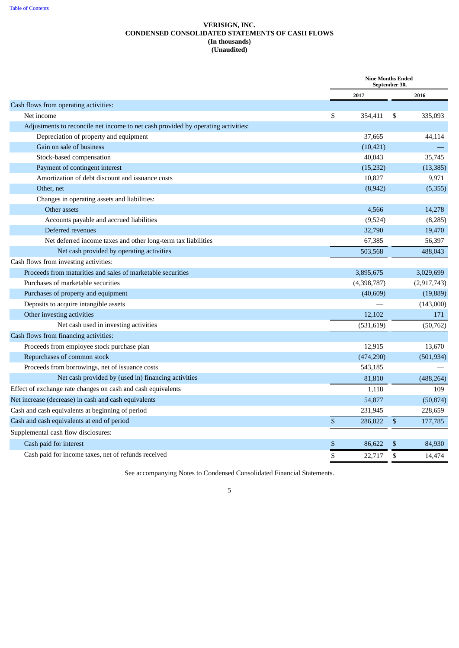## **VERISIGN, INC. CONDENSED CONSOLIDATED STATEMENTS OF CASH FLOWS (In thousands) (Unaudited)**

<span id="page-4-0"></span>

| 2017<br>2016<br>Cash flows from operating activities:<br>Net income<br>\$<br>354,411<br>\$<br>335,093<br>Adjustments to reconcile net income to net cash provided by operating activities:<br>Depreciation of property and equipment<br>37,665<br>44,114<br>Gain on sale of business<br>(10, 421)<br>Stock-based compensation<br>40,043<br>35,745<br>Payment of contingent interest<br>(13, 385)<br>(15,232)<br>Amortization of debt discount and issuance costs<br>10,827<br>9,971<br>Other, net<br>(8,942)<br>(5,355)<br>Changes in operating assets and liabilities:<br>Other assets<br>4,566<br>14,278<br>Accounts payable and accrued liabilities<br>(9,524)<br>(8, 285)<br>Deferred revenues<br>32,790<br>19,470<br>Net deferred income taxes and other long-term tax liabilities<br>67,385<br>56,397<br>Net cash provided by operating activities<br>488,043<br>503,568<br>Cash flows from investing activities:<br>Proceeds from maturities and sales of marketable securities<br>3,895,675<br>3,029,699<br>Purchases of marketable securities<br>(4,398,787)<br>(2,917,743)<br>Purchases of property and equipment<br>(40,609)<br>(19, 889)<br>Deposits to acquire intangible assets<br>(143,000)<br>Other investing activities<br>12,102<br>171<br>Net cash used in investing activities<br>(531, 619)<br>(50, 762)<br>Cash flows from financing activities:<br>Proceeds from employee stock purchase plan<br>12,915<br>13,670<br>Repurchases of common stock<br>(474, 290)<br>(501, 934)<br>Proceeds from borrowings, net of issuance costs<br>543,185<br>Net cash provided by (used in) financing activities<br>(488, 264)<br>81,810<br>Effect of exchange rate changes on cash and cash equivalents<br>1,118<br>109<br>Net increase (decrease) in cash and cash equivalents<br>54,877<br>(50, 874)<br>Cash and cash equivalents at beginning of period<br>228,659<br>231,945<br>Cash and cash equivalents at end of period<br>$\mathbb{S}$<br>286,822<br>\$<br>177,785<br>Supplemental cash flow disclosures:<br>Cash paid for interest<br>\$<br>86,622<br>84,930<br>\$ |                                                     |    | <b>Nine Months Ended</b><br>September 30, |    |        |
|--------------------------------------------------------------------------------------------------------------------------------------------------------------------------------------------------------------------------------------------------------------------------------------------------------------------------------------------------------------------------------------------------------------------------------------------------------------------------------------------------------------------------------------------------------------------------------------------------------------------------------------------------------------------------------------------------------------------------------------------------------------------------------------------------------------------------------------------------------------------------------------------------------------------------------------------------------------------------------------------------------------------------------------------------------------------------------------------------------------------------------------------------------------------------------------------------------------------------------------------------------------------------------------------------------------------------------------------------------------------------------------------------------------------------------------------------------------------------------------------------------------------------------------------------------------------------------------------------------------------------------------------------------------------------------------------------------------------------------------------------------------------------------------------------------------------------------------------------------------------------------------------------------------------------------------------------------------------------------------------------------------------------------------------------------------------------------------|-----------------------------------------------------|----|-------------------------------------------|----|--------|
|                                                                                                                                                                                                                                                                                                                                                                                                                                                                                                                                                                                                                                                                                                                                                                                                                                                                                                                                                                                                                                                                                                                                                                                                                                                                                                                                                                                                                                                                                                                                                                                                                                                                                                                                                                                                                                                                                                                                                                                                                                                                                      |                                                     |    |                                           |    |        |
|                                                                                                                                                                                                                                                                                                                                                                                                                                                                                                                                                                                                                                                                                                                                                                                                                                                                                                                                                                                                                                                                                                                                                                                                                                                                                                                                                                                                                                                                                                                                                                                                                                                                                                                                                                                                                                                                                                                                                                                                                                                                                      |                                                     |    |                                           |    |        |
|                                                                                                                                                                                                                                                                                                                                                                                                                                                                                                                                                                                                                                                                                                                                                                                                                                                                                                                                                                                                                                                                                                                                                                                                                                                                                                                                                                                                                                                                                                                                                                                                                                                                                                                                                                                                                                                                                                                                                                                                                                                                                      |                                                     |    |                                           |    |        |
|                                                                                                                                                                                                                                                                                                                                                                                                                                                                                                                                                                                                                                                                                                                                                                                                                                                                                                                                                                                                                                                                                                                                                                                                                                                                                                                                                                                                                                                                                                                                                                                                                                                                                                                                                                                                                                                                                                                                                                                                                                                                                      |                                                     |    |                                           |    |        |
|                                                                                                                                                                                                                                                                                                                                                                                                                                                                                                                                                                                                                                                                                                                                                                                                                                                                                                                                                                                                                                                                                                                                                                                                                                                                                                                                                                                                                                                                                                                                                                                                                                                                                                                                                                                                                                                                                                                                                                                                                                                                                      |                                                     |    |                                           |    |        |
|                                                                                                                                                                                                                                                                                                                                                                                                                                                                                                                                                                                                                                                                                                                                                                                                                                                                                                                                                                                                                                                                                                                                                                                                                                                                                                                                                                                                                                                                                                                                                                                                                                                                                                                                                                                                                                                                                                                                                                                                                                                                                      |                                                     |    |                                           |    |        |
|                                                                                                                                                                                                                                                                                                                                                                                                                                                                                                                                                                                                                                                                                                                                                                                                                                                                                                                                                                                                                                                                                                                                                                                                                                                                                                                                                                                                                                                                                                                                                                                                                                                                                                                                                                                                                                                                                                                                                                                                                                                                                      |                                                     |    |                                           |    |        |
|                                                                                                                                                                                                                                                                                                                                                                                                                                                                                                                                                                                                                                                                                                                                                                                                                                                                                                                                                                                                                                                                                                                                                                                                                                                                                                                                                                                                                                                                                                                                                                                                                                                                                                                                                                                                                                                                                                                                                                                                                                                                                      |                                                     |    |                                           |    |        |
|                                                                                                                                                                                                                                                                                                                                                                                                                                                                                                                                                                                                                                                                                                                                                                                                                                                                                                                                                                                                                                                                                                                                                                                                                                                                                                                                                                                                                                                                                                                                                                                                                                                                                                                                                                                                                                                                                                                                                                                                                                                                                      |                                                     |    |                                           |    |        |
|                                                                                                                                                                                                                                                                                                                                                                                                                                                                                                                                                                                                                                                                                                                                                                                                                                                                                                                                                                                                                                                                                                                                                                                                                                                                                                                                                                                                                                                                                                                                                                                                                                                                                                                                                                                                                                                                                                                                                                                                                                                                                      |                                                     |    |                                           |    |        |
|                                                                                                                                                                                                                                                                                                                                                                                                                                                                                                                                                                                                                                                                                                                                                                                                                                                                                                                                                                                                                                                                                                                                                                                                                                                                                                                                                                                                                                                                                                                                                                                                                                                                                                                                                                                                                                                                                                                                                                                                                                                                                      |                                                     |    |                                           |    |        |
|                                                                                                                                                                                                                                                                                                                                                                                                                                                                                                                                                                                                                                                                                                                                                                                                                                                                                                                                                                                                                                                                                                                                                                                                                                                                                                                                                                                                                                                                                                                                                                                                                                                                                                                                                                                                                                                                                                                                                                                                                                                                                      |                                                     |    |                                           |    |        |
|                                                                                                                                                                                                                                                                                                                                                                                                                                                                                                                                                                                                                                                                                                                                                                                                                                                                                                                                                                                                                                                                                                                                                                                                                                                                                                                                                                                                                                                                                                                                                                                                                                                                                                                                                                                                                                                                                                                                                                                                                                                                                      |                                                     |    |                                           |    |        |
|                                                                                                                                                                                                                                                                                                                                                                                                                                                                                                                                                                                                                                                                                                                                                                                                                                                                                                                                                                                                                                                                                                                                                                                                                                                                                                                                                                                                                                                                                                                                                                                                                                                                                                                                                                                                                                                                                                                                                                                                                                                                                      |                                                     |    |                                           |    |        |
|                                                                                                                                                                                                                                                                                                                                                                                                                                                                                                                                                                                                                                                                                                                                                                                                                                                                                                                                                                                                                                                                                                                                                                                                                                                                                                                                                                                                                                                                                                                                                                                                                                                                                                                                                                                                                                                                                                                                                                                                                                                                                      |                                                     |    |                                           |    |        |
|                                                                                                                                                                                                                                                                                                                                                                                                                                                                                                                                                                                                                                                                                                                                                                                                                                                                                                                                                                                                                                                                                                                                                                                                                                                                                                                                                                                                                                                                                                                                                                                                                                                                                                                                                                                                                                                                                                                                                                                                                                                                                      |                                                     |    |                                           |    |        |
|                                                                                                                                                                                                                                                                                                                                                                                                                                                                                                                                                                                                                                                                                                                                                                                                                                                                                                                                                                                                                                                                                                                                                                                                                                                                                                                                                                                                                                                                                                                                                                                                                                                                                                                                                                                                                                                                                                                                                                                                                                                                                      |                                                     |    |                                           |    |        |
|                                                                                                                                                                                                                                                                                                                                                                                                                                                                                                                                                                                                                                                                                                                                                                                                                                                                                                                                                                                                                                                                                                                                                                                                                                                                                                                                                                                                                                                                                                                                                                                                                                                                                                                                                                                                                                                                                                                                                                                                                                                                                      |                                                     |    |                                           |    |        |
|                                                                                                                                                                                                                                                                                                                                                                                                                                                                                                                                                                                                                                                                                                                                                                                                                                                                                                                                                                                                                                                                                                                                                                                                                                                                                                                                                                                                                                                                                                                                                                                                                                                                                                                                                                                                                                                                                                                                                                                                                                                                                      |                                                     |    |                                           |    |        |
|                                                                                                                                                                                                                                                                                                                                                                                                                                                                                                                                                                                                                                                                                                                                                                                                                                                                                                                                                                                                                                                                                                                                                                                                                                                                                                                                                                                                                                                                                                                                                                                                                                                                                                                                                                                                                                                                                                                                                                                                                                                                                      |                                                     |    |                                           |    |        |
|                                                                                                                                                                                                                                                                                                                                                                                                                                                                                                                                                                                                                                                                                                                                                                                                                                                                                                                                                                                                                                                                                                                                                                                                                                                                                                                                                                                                                                                                                                                                                                                                                                                                                                                                                                                                                                                                                                                                                                                                                                                                                      |                                                     |    |                                           |    |        |
|                                                                                                                                                                                                                                                                                                                                                                                                                                                                                                                                                                                                                                                                                                                                                                                                                                                                                                                                                                                                                                                                                                                                                                                                                                                                                                                                                                                                                                                                                                                                                                                                                                                                                                                                                                                                                                                                                                                                                                                                                                                                                      |                                                     |    |                                           |    |        |
|                                                                                                                                                                                                                                                                                                                                                                                                                                                                                                                                                                                                                                                                                                                                                                                                                                                                                                                                                                                                                                                                                                                                                                                                                                                                                                                                                                                                                                                                                                                                                                                                                                                                                                                                                                                                                                                                                                                                                                                                                                                                                      |                                                     |    |                                           |    |        |
|                                                                                                                                                                                                                                                                                                                                                                                                                                                                                                                                                                                                                                                                                                                                                                                                                                                                                                                                                                                                                                                                                                                                                                                                                                                                                                                                                                                                                                                                                                                                                                                                                                                                                                                                                                                                                                                                                                                                                                                                                                                                                      |                                                     |    |                                           |    |        |
|                                                                                                                                                                                                                                                                                                                                                                                                                                                                                                                                                                                                                                                                                                                                                                                                                                                                                                                                                                                                                                                                                                                                                                                                                                                                                                                                                                                                                                                                                                                                                                                                                                                                                                                                                                                                                                                                                                                                                                                                                                                                                      |                                                     |    |                                           |    |        |
|                                                                                                                                                                                                                                                                                                                                                                                                                                                                                                                                                                                                                                                                                                                                                                                                                                                                                                                                                                                                                                                                                                                                                                                                                                                                                                                                                                                                                                                                                                                                                                                                                                                                                                                                                                                                                                                                                                                                                                                                                                                                                      |                                                     |    |                                           |    |        |
|                                                                                                                                                                                                                                                                                                                                                                                                                                                                                                                                                                                                                                                                                                                                                                                                                                                                                                                                                                                                                                                                                                                                                                                                                                                                                                                                                                                                                                                                                                                                                                                                                                                                                                                                                                                                                                                                                                                                                                                                                                                                                      |                                                     |    |                                           |    |        |
|                                                                                                                                                                                                                                                                                                                                                                                                                                                                                                                                                                                                                                                                                                                                                                                                                                                                                                                                                                                                                                                                                                                                                                                                                                                                                                                                                                                                                                                                                                                                                                                                                                                                                                                                                                                                                                                                                                                                                                                                                                                                                      |                                                     |    |                                           |    |        |
|                                                                                                                                                                                                                                                                                                                                                                                                                                                                                                                                                                                                                                                                                                                                                                                                                                                                                                                                                                                                                                                                                                                                                                                                                                                                                                                                                                                                                                                                                                                                                                                                                                                                                                                                                                                                                                                                                                                                                                                                                                                                                      |                                                     |    |                                           |    |        |
|                                                                                                                                                                                                                                                                                                                                                                                                                                                                                                                                                                                                                                                                                                                                                                                                                                                                                                                                                                                                                                                                                                                                                                                                                                                                                                                                                                                                                                                                                                                                                                                                                                                                                                                                                                                                                                                                                                                                                                                                                                                                                      |                                                     |    |                                           |    |        |
|                                                                                                                                                                                                                                                                                                                                                                                                                                                                                                                                                                                                                                                                                                                                                                                                                                                                                                                                                                                                                                                                                                                                                                                                                                                                                                                                                                                                                                                                                                                                                                                                                                                                                                                                                                                                                                                                                                                                                                                                                                                                                      |                                                     |    |                                           |    |        |
|                                                                                                                                                                                                                                                                                                                                                                                                                                                                                                                                                                                                                                                                                                                                                                                                                                                                                                                                                                                                                                                                                                                                                                                                                                                                                                                                                                                                                                                                                                                                                                                                                                                                                                                                                                                                                                                                                                                                                                                                                                                                                      |                                                     |    |                                           |    |        |
|                                                                                                                                                                                                                                                                                                                                                                                                                                                                                                                                                                                                                                                                                                                                                                                                                                                                                                                                                                                                                                                                                                                                                                                                                                                                                                                                                                                                                                                                                                                                                                                                                                                                                                                                                                                                                                                                                                                                                                                                                                                                                      |                                                     |    |                                           |    |        |
|                                                                                                                                                                                                                                                                                                                                                                                                                                                                                                                                                                                                                                                                                                                                                                                                                                                                                                                                                                                                                                                                                                                                                                                                                                                                                                                                                                                                                                                                                                                                                                                                                                                                                                                                                                                                                                                                                                                                                                                                                                                                                      |                                                     |    |                                           |    |        |
|                                                                                                                                                                                                                                                                                                                                                                                                                                                                                                                                                                                                                                                                                                                                                                                                                                                                                                                                                                                                                                                                                                                                                                                                                                                                                                                                                                                                                                                                                                                                                                                                                                                                                                                                                                                                                                                                                                                                                                                                                                                                                      | Cash paid for income taxes, net of refunds received | \$ | 22,717                                    | \$ | 14,474 |

See accompanying Notes to Condensed Consolidated Financial Statements.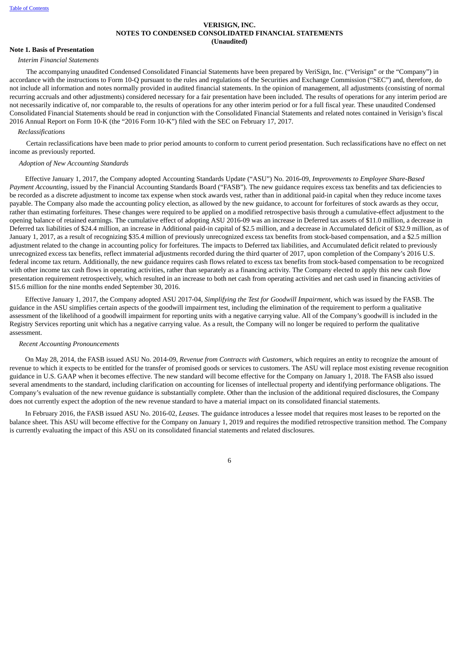### **VERISIGN, INC. NOTES TO CONDENSED CONSOLIDATED FINANCIAL STATEMENTS (Unaudited)**

#### <span id="page-5-0"></span>**Note 1. Basis of Presentation**

#### *Interim Financial Statements*

The accompanying unaudited Condensed Consolidated Financial Statements have been prepared by VeriSign, Inc. ("Verisign" or the "Company") in accordance with the instructions to Form 10-Q pursuant to the rules and regulations of the Securities and Exchange Commission ("SEC") and, therefore, do not include all information and notes normally provided in audited financial statements. In the opinion of management, all adjustments (consisting of normal recurring accruals and other adjustments) considered necessary for a fair presentation have been included. The results of operations for any interim period are not necessarily indicative of, nor comparable to, the results of operations for any other interim period or for a full fiscal year. These unaudited Condensed Consolidated Financial Statements should be read in conjunction with the Consolidated Financial Statements and related notes contained in Verisign's fiscal 2016 Annual Report on Form 10-K (the "2016 Form 10-K") filed with the SEC on February 17, 2017.

#### *Reclassifications*

Certain reclassifications have been made to prior period amounts to conform to current period presentation. Such reclassifications have no effect on net income as previously reported.

## *Adoption of New Accounting Standards*

Effective January 1, 2017, the Company adopted Accounting Standards Update ("ASU") No. 2016-09, *Improvements to Employee Share-Based Payment Accounting*, issued by the Financial Accounting Standards Board ("FASB"). The new guidance requires excess tax benefits and tax deficiencies to be recorded as a discrete adjustment to income tax expense when stock awards vest, rather than in additional paid-in capital when they reduce income taxes payable. The Company also made the accounting policy election, as allowed by the new guidance, to account for forfeitures of stock awards as they occur, rather than estimating forfeitures. These changes were required to be applied on a modified retrospective basis through a cumulative-effect adjustment to the opening balance of retained earnings. The cumulative effect of adopting ASU 2016-09 was an increase in Deferred tax assets of \$11.0 million, a decrease in Deferred tax liabilities of \$24.4 million, an increase in Additional paid-in capital of \$2.5 million, and a decrease in Accumulated deficit of \$32.9 million, as of January 1, 2017, as a result of recognizing \$35.4 million of previously unrecognized excess tax benefits from stock-based compensation, and a \$2.5 million adjustment related to the change in accounting policy for forfeitures. The impacts to Deferred tax liabilities, and Accumulated deficit related to previously unrecognized excess tax benefits, reflect immaterial adjustments recorded during the third quarter of 2017, upon completion of the Company's 2016 U.S. federal income tax return. Additionally, the new guidance requires cash flows related to excess tax benefits from stock-based compensation to be recognized with other income tax cash flows in operating activities, rather than separately as a financing activity. The Company elected to apply this new cash flow presentation requirement retrospectively, which resulted in an increase to both net cash from operating activities and net cash used in financing activities of \$15.6 million for the nine months ended September 30, 2016.

Effective January 1, 2017, the Company adopted ASU 2017-04, *Simplifying the Test for Goodwill Impairment,* which was issued by the FASB. The guidance in the ASU simplifies certain aspects of the goodwill impairment test, including the elimination of the requirement to perform a qualitative assessment of the likelihood of a goodwill impairment for reporting units with a negative carrying value. All of the Company's goodwill is included in the Registry Services reporting unit which has a negative carrying value. As a result, the Company will no longer be required to perform the qualitative assessment.

#### *Recent Accounting Pronouncements*

On May 28, 2014, the FASB issued ASU No. 2014-09, *Revenue from Contracts with Customers*, which requires an entity to recognize the amount of revenue to which it expects to be entitled for the transfer of promised goods or services to customers. The ASU will replace most existing revenue recognition guidance in U.S. GAAP when it becomes effective. The new standard will become effective for the Company on January 1, 2018. The FASB also issued several amendments to the standard, including clarification on accounting for licenses of intellectual property and identifying performance obligations. The Company's evaluation of the new revenue guidance is substantially complete. Other than the inclusion of the additional required disclosures, the Company does not currently expect the adoption of the new revenue standard to have a material impact on its consolidated financial statements.

In February 2016, the FASB issued ASU No. 2016-02, *Leases*. The guidance introduces a lessee model that requires most leases to be reported on the balance sheet. This ASU will become effective for the Company on January 1, 2019 and requires the modified retrospective transition method. The Company is currently evaluating the impact of this ASU on its consolidated financial statements and related disclosures.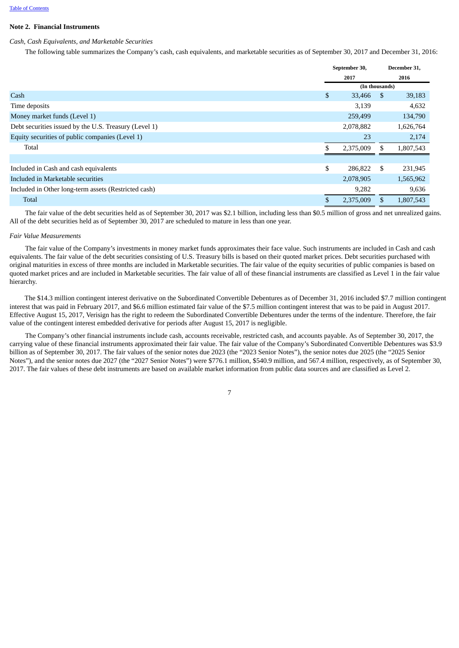# **Note 2. Financial Instruments**

## *Cash, Cash Equivalents, and Marketable Securities*

The following table summarizes the Company's cash, cash equivalents, and marketable securities as of September 30, 2017 and December 31, 2016:

|                                                       | September 30, |                |    | December 31, |
|-------------------------------------------------------|---------------|----------------|----|--------------|
|                                                       |               | 2017           |    | 2016         |
|                                                       |               | (In thousands) |    |              |
| Cash                                                  | \$            | 33,466 \$      |    | 39,183       |
| Time deposits                                         |               | 3,139          |    | 4,632        |
| Money market funds (Level 1)                          |               | 259,499        |    | 134,790      |
| Debt securities issued by the U.S. Treasury (Level 1) |               | 2,078,882      |    | 1,626,764    |
| Equity securities of public companies (Level 1)       |               | 23             |    | 2,174        |
| Total                                                 | \$            | 2,375,009      | \$ | 1,807,543    |
|                                                       |               |                |    |              |
| Included in Cash and cash equivalents                 | \$            | 286,822        | \$ | 231,945      |
| Included in Marketable securities                     |               | 2,078,905      |    | 1,565,962    |
| Included in Other long-term assets (Restricted cash)  |               | 9,282          |    | 9,636        |
| <b>Total</b>                                          | $\mathcal{S}$ | 2,375,009      | S. | 1,807,543    |

The fair value of the debt securities held as of September 30, 2017 was \$2.1 billion, including less than \$0.5 million of gross and net unrealized gains. All of the debt securities held as of September 30, 2017 are scheduled to mature in less than one year.

#### *Fair Value Measurements*

The fair value of the Company's investments in money market funds approximates their face value. Such instruments are included in Cash and cash equivalents. The fair value of the debt securities consisting of U.S. Treasury bills is based on their quoted market prices. Debt securities purchased with original maturities in excess of three months are included in Marketable securities. The fair value of the equity securities of public companies is based on quoted market prices and are included in Marketable securities. The fair value of all of these financial instruments are classified as Level 1 in the fair value hierarchy.

The \$14.3 million contingent interest derivative on the Subordinated Convertible Debentures as of December 31, 2016 included \$7.7 million contingent interest that was paid in February 2017, and \$6.6 million estimated fair value of the \$7.5 million contingent interest that was to be paid in August 2017. Effective August 15, 2017, Verisign has the right to redeem the Subordinated Convertible Debentures under the terms of the indenture. Therefore, the fair value of the contingent interest embedded derivative for periods after August 15, 2017 is negligible.

The Company's other financial instruments include cash, accounts receivable, restricted cash, and accounts payable. As of September 30, 2017, the carrying value of these financial instruments approximated their fair value. The fair value of the Company's Subordinated Convertible Debentures was \$3.9 billion as of September 30, 2017. The fair values of the senior notes due 2023 (the "2023 Senior Notes"), the senior notes due 2025 (the "2025 Senior Notes"), and the senior notes due 2027 (the "2027 Senior Notes") were \$776.1 million, \$540.9 million, and 567.4 million, respectively, as of September 30, 2017. The fair values of these debt instruments are based on available market information from public data sources and are classified as Level 2.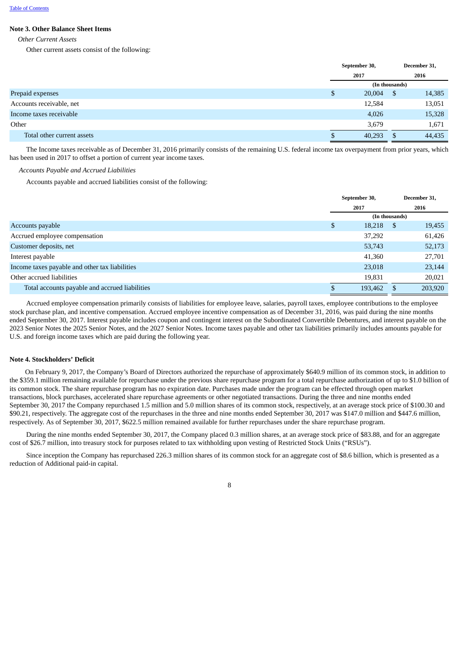# **Note 3. Other Balance Sheet Items**

*Other Current Assets*

Other current assets consist of the following:

|                            | September 30,  |          | December 31, |
|----------------------------|----------------|----------|--------------|
|                            | 2017           |          | 2016         |
|                            | (In thousands) |          |              |
| Prepaid expenses           | \$<br>20,004   | <b>S</b> | 14,385       |
| Accounts receivable, net   | 12,584         |          | 13,051       |
| Income taxes receivable    | 4,026          |          | 15,328       |
| Other                      | 3,679          |          | 1,671        |
| Total other current assets | 40,293         | - \$     | 44,435       |
|                            |                |          |              |

The Income taxes receivable as of December 31, 2016 primarily consists of the remaining U.S. federal income tax overpayment from prior years, which has been used in 2017 to offset a portion of current year income taxes.

*Accounts Payable and Accrued Liabilities*

Accounts payable and accrued liabilities consist of the following:

|                                                | September 30, |                | December 31, |
|------------------------------------------------|---------------|----------------|--------------|
|                                                | 2017          |                | 2016         |
|                                                |               | (In thousands) |              |
| Accounts payable                               | \$<br>18,218  | - \$           | 19,455       |
| Accrued employee compensation                  | 37,292        |                | 61,426       |
| Customer deposits, net                         | 53,743        |                | 52,173       |
| Interest payable                               | 41,360        |                | 27,701       |
| Income taxes payable and other tax liabilities | 23,018        |                | 23,144       |
| Other accrued liabilities                      | 19,831        |                | 20,021       |
| Total accounts payable and accrued liabilities | 193,462       | - \$           | 203,920      |

Accrued employee compensation primarily consists of liabilities for employee leave, salaries, payroll taxes, employee contributions to the employee stock purchase plan, and incentive compensation. Accrued employee incentive compensation as of December 31, 2016, was paid during the nine months ended September 30, 2017. Interest payable includes coupon and contingent interest on the Subordinated Convertible Debentures, and interest payable on the 2023 Senior Notes the 2025 Senior Notes, and the 2027 Senior Notes. Income taxes payable and other tax liabilities primarily includes amounts payable for U.S. and foreign income taxes which are paid during the following year.

# **Note 4. Stockholders' Deficit**

On February 9, 2017, the Company's Board of Directors authorized the repurchase of approximately \$640.9 million of its common stock, in addition to the \$359.1 million remaining available for repurchase under the previous share repurchase program for a total repurchase authorization of up to \$1.0 billion of its common stock. The share repurchase program has no expiration date. Purchases made under the program can be effected through open market transactions, block purchases, accelerated share repurchase agreements or other negotiated transactions. During the three and nine months ended September 30, 2017 the Company repurchased 1.5 million and 5.0 million shares of its common stock, respectively, at an average stock price of \$100.30 and \$90.21, respectively. The aggregate cost of the repurchases in the three and nine months ended September 30, 2017 was \$147.0 million and \$447.6 million, respectively. As of September 30, 2017, \$622.5 million remained available for further repurchases under the share repurchase program.

During the nine months ended September 30, 2017, the Company placed 0.3 million shares, at an average stock price of \$83.88, and for an aggregate cost of \$26.7 million, into treasury stock for purposes related to tax withholding upon vesting of Restricted Stock Units ("RSUs").

Since inception the Company has repurchased 226.3 million shares of its common stock for an aggregate cost of \$8.6 billion, which is presented as a reduction of Additional paid-in capital.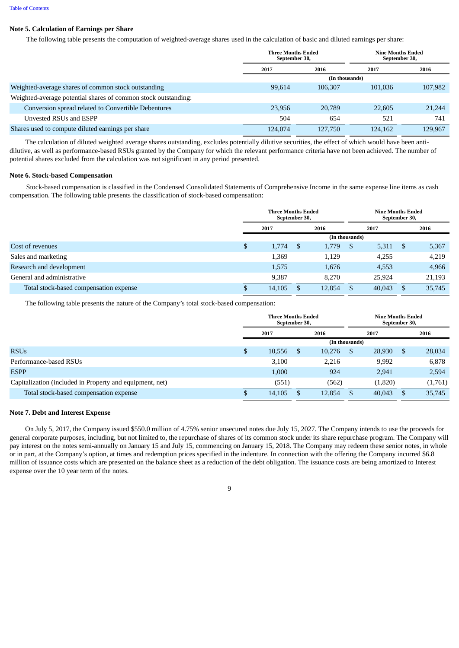## **Note 5. Calculation of Earnings per Share**

The following table presents the computation of weighted-average shares used in the calculation of basic and diluted earnings per share:

|                                                                | <b>Three Months Ended</b><br>September 30, |         | <b>Nine Months Ended</b> | September 30, |  |  |  |
|----------------------------------------------------------------|--------------------------------------------|---------|--------------------------|---------------|--|--|--|
|                                                                | 2017                                       | 2016    | 2017                     | 2016          |  |  |  |
|                                                                | (In thousands)                             |         |                          |               |  |  |  |
| Weighted-average shares of common stock outstanding            | 99,614                                     | 106.307 | 101.036                  | 107,982       |  |  |  |
| Weighted-average potential shares of common stock outstanding: |                                            |         |                          |               |  |  |  |
| Conversion spread related to Convertible Debentures            | 23,956                                     | 20,789  | 22,605                   | 21,244        |  |  |  |
| Unvested RSUs and ESPP                                         | 504                                        | 654     | 521                      | 741           |  |  |  |
| Shares used to compute diluted earnings per share              | 124,074                                    | 127,750 | 124,162                  | 129,967       |  |  |  |

The calculation of diluted weighted average shares outstanding, excludes potentially dilutive securities, the effect of which would have been antidilutive, as well as performance-based RSUs granted by the Company for which the relevant performance criteria have not been achieved. The number of potential shares excluded from the calculation was not significant in any period presented.

#### **Note 6. Stock-based Compensation**

Stock-based compensation is classified in the Condensed Consolidated Statements of Comprehensive Income in the same expense line items as cash compensation. The following table presents the classification of stock-based compensation:

|                                        | <b>Three Months Ended</b><br>September 30, |    |                |    |        | <b>Nine Months Ended</b><br>September 30, |  |
|----------------------------------------|--------------------------------------------|----|----------------|----|--------|-------------------------------------------|--|
|                                        | 2017                                       |    | 2016           |    | 2017   | 2016                                      |  |
|                                        |                                            |    | (In thousands) |    |        |                                           |  |
| Cost of revenues                       | \$<br>1,774                                | -S | 1,779          | -S | 5,311  | \$<br>5,367                               |  |
| Sales and marketing                    | 1,369                                      |    | 1,129          |    | 4,255  | 4,219                                     |  |
| Research and development               | 1,575                                      |    | 1,676          |    | 4,553  | 4,966                                     |  |
| General and administrative             | 9.387                                      |    | 8,270          |    | 25.924 | 21,193                                    |  |
| Total stock-based compensation expense | \$<br>14,105                               |    | 12,854         |    | 40,043 | 35,745                                    |  |

The following table presents the nature of the Company's total stock-based compensation:

| <b>Three Months Ended</b><br>September 30, |        |     |        |   |         |                |                                    |  |
|--------------------------------------------|--------|-----|--------|---|---------|----------------|------------------------------------|--|
| 2016<br>2017                               |        |     | 2017   |   | 2016    |                |                                    |  |
|                                            |        |     |        |   |         |                |                                    |  |
| \$                                         | 10,556 | S   | 10,276 | S | 28,930  | \$             | 28,034                             |  |
|                                            | 3,100  |     | 2,216  |   | 9,992   |                | 6,878                              |  |
|                                            | 1,000  |     | 924    |   | 2,941   |                | 2,594                              |  |
|                                            | (551)  |     | (562)  |   | (1,820) |                | (1,761)                            |  |
|                                            | 14,105 | \$. | 12,854 |   | 40,043  |                | 35,745                             |  |
|                                            |        |     |        |   |         | (In thousands) | Nine Months Ended<br>September 30, |  |

## **Note 7. Debt and Interest Expense**

On July 5, 2017, the Company issued \$550.0 million of 4.75% senior unsecured notes due July 15, 2027. The Company intends to use the proceeds for general corporate purposes, including, but not limited to, the repurchase of shares of its common stock under its share repurchase program. The Company will pay interest on the notes semi-annually on January 15 and July 15, commencing on January 15, 2018. The Company may redeem these senior notes, in whole or in part, at the Company's option, at times and redemption prices specified in the indenture. In connection with the offering the Company incurred \$6.8 million of issuance costs which are presented on the balance sheet as a reduction of the debt obligation. The issuance costs are being amortized to Interest expense over the 10 year term of the notes.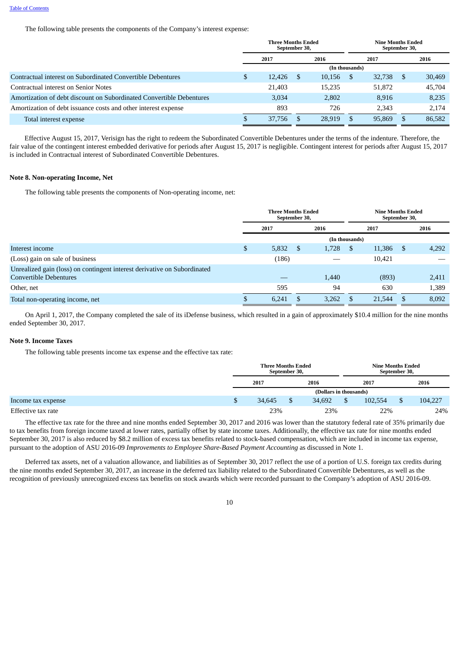The following table presents the components of the Company's interest expense:

|                                                                      | <b>Three Months Ended</b><br>September 30, |        |  |        | <b>Nine Months Ended</b><br>September 30, |        |   |        |
|----------------------------------------------------------------------|--------------------------------------------|--------|--|--------|-------------------------------------------|--------|---|--------|
|                                                                      | 2017<br>2016                               |        |  | 2017   |                                           |        |   | 2016   |
|                                                                      |                                            |        |  |        | (In thousands)                            |        |   |        |
| Contractual interest on Subordinated Convertible Debentures          | S                                          | 12,426 |  | 10,156 | <sup>\$</sup>                             | 32,738 | S | 30,469 |
| Contractual interest on Senior Notes                                 |                                            | 21,403 |  | 15.235 |                                           | 51.872 |   | 45,704 |
| Amortization of debt discount on Subordinated Convertible Debentures |                                            | 3.034  |  | 2,802  |                                           | 8.916  |   | 8,235  |
| Amortization of debt issuance costs and other interest expense       |                                            | 893    |  | 726    |                                           | 2.343  |   | 2.174  |
| Total interest expense                                               |                                            | 37,756 |  | 28,919 |                                           | 95,869 |   | 86,582 |

Effective August 15, 2017, Verisign has the right to redeem the Subordinated Convertible Debentures under the terms of the indenture. Therefore, the fair value of the contingent interest embedded derivative for periods after August 15, 2017 is negligible. Contingent interest for periods after August 15, 2017 is included in Contractual interest of Subordinated Convertible Debentures.

#### **Note 8. Non-operating Income, Net**

The following table presents the components of Non-operating income, net:

|                                                                                                    | <b>Three Months Ended</b><br>September 30, |   |       | <b>Nine Months Ended</b><br>September 30, |        |   |       |  |  |  |  |  |
|----------------------------------------------------------------------------------------------------|--------------------------------------------|---|-------|-------------------------------------------|--------|---|-------|--|--|--|--|--|
|                                                                                                    | 2017                                       |   | 2016  |                                           | 2017   |   | 2016  |  |  |  |  |  |
|                                                                                                    |                                            |   |       | (In thousands)                            |        |   |       |  |  |  |  |  |
| Interest income                                                                                    | \$<br>5,832                                | S | 1,728 | \$.                                       | 11,386 | S | 4,292 |  |  |  |  |  |
| (Loss) gain on sale of business                                                                    | (186)                                      |   |       |                                           | 10,421 |   |       |  |  |  |  |  |
| Unrealized gain (loss) on contingent interest derivative on Subordinated<br>Convertible Debentures |                                            |   | 1,440 |                                           | (893)  |   | 2,411 |  |  |  |  |  |
| Other, net                                                                                         | 595                                        |   | 94    |                                           | 630    |   | 1,389 |  |  |  |  |  |
| Total non-operating income, net                                                                    | 6,241                                      |   | 3,262 | -S                                        | 21,544 |   | 8,092 |  |  |  |  |  |

On April 1, 2017, the Company completed the sale of its iDefense business, which resulted in a gain of approximately \$10.4 million for the nine months ended September 30, 2017.

#### **Note 9. Income Taxes**

The following table presents income tax expense and the effective tax rate:

|                    | <b>Three Months Ended</b> | September 30, |        |  | <b>Nine Months Ended</b><br>September 30, |               |         |  |
|--------------------|---------------------------|---------------|--------|--|-------------------------------------------|---------------|---------|--|
|                    | 2017                      |               | 2016   |  | 2017                                      | 2016          |         |  |
|                    | (Dollars in thousands)    |               |        |  |                                           |               |         |  |
| Income tax expense | 34,645                    | \$            | 34,692 |  | 102.554                                   | <sup>\$</sup> | 104,227 |  |
| Effective tax rate | 23%                       | 23%           |        |  | 22%                                       |               | 24%     |  |

The effective tax rate for the three and nine months ended September 30, 2017 and 2016 was lower than the statutory federal rate of 35% primarily due to tax benefits from foreign income taxed at lower rates, partially offset by state income taxes. Additionally, the effective tax rate for nine months ended September 30, 2017 is also reduced by \$8.2 million of excess tax benefits related to stock-based compensation, which are included in income tax expense, pursuant to the adoption of ASU 2016-09 *Improvements to Employee Share-Based Payment Accounting* as discussed in Note 1.

Deferred tax assets, net of a valuation allowance, and liabilities as of September 30, 2017 reflect the use of a portion of U.S. foreign tax credits during the nine months ended September 30, 2017, an increase in the deferred tax liability related to the Subordinated Convertible Debentures, as well as the recognition of previously unrecognized excess tax benefits on stock awards which were recorded pursuant to the Company's adoption of ASU 2016-09.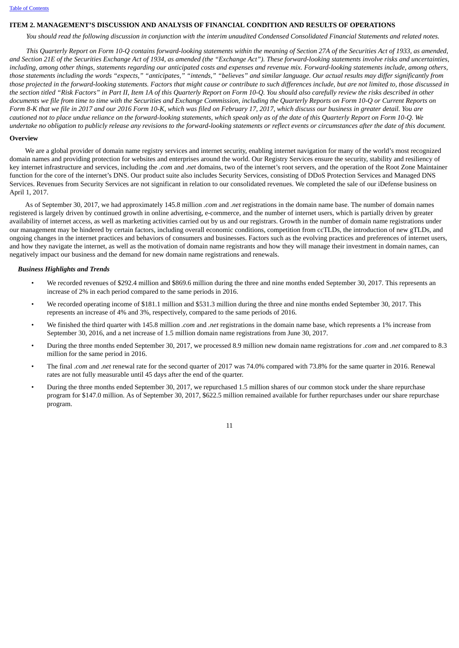#### <span id="page-10-0"></span>**ITEM 2. MANAGEMENT'S DISCUSSION AND ANALYSIS OF FINANCIAL CONDITION AND RESULTS OF OPERATIONS**

You should read the following discussion in conjunction with the interim unaudited Condensed Consolidated Financial Statements and related notes.

This Quarterly Report on Form 10-Q contains forward-looking statements within the meaning of Section 27A of the Securities Act of 1933, as amended, and Section 21E of the Securities Exchange Act of 1934, as amended (the "Exchange Act"). These forward-looking statements involve risks and uncertainties, including, among other things, statements regarding our anticipated costs and expenses and revenue mix. Forward-looking statements include, among others, those statements including the words "expects." "anticipates." "intends." "believes" and similar language. Our actual results may differ significantly from those projected in the forward-looking statements. Factors that might cause or contribute to such differences include, but are not limited to, those discussed in the section titled "Risk Factors" in Part II, Item 1A of this Quarterly Report on Form 10-Q. You should also carefully review the risks described in other documents we file from time to time with the Securities and Exchange Commission, including the Quarterly Reports on Form 10-Q or Current Reports on Form 8-K that we file in 2017 and our 2016 Form 10-K, which was filed on February 17, 2017, which discuss our business in greater detail. You are cautioned not to place undue reliance on the forward-looking statements, which speak only as of the date of this Quarterly Report on Form 10-Q. We undertake no obligation to publicly release any revisions to the forward-looking statements or reflect events or circumstances after the date of this document.

#### **Overview**

We are a global provider of domain name registry services and internet security, enabling internet navigation for many of the world's most recognized domain names and providing protection for websites and enterprises around the world. Our Registry Services ensure the security, stability and resiliency of key internet infrastructure and services, including the *.com* and *.net* domains, two of the internet's root servers, and the operation of the Root Zone Maintainer function for the core of the internet's DNS. Our product suite also includes Security Services, consisting of DDoS Protection Services and Managed DNS Services. Revenues from Security Services are not significant in relation to our consolidated revenues. We completed the sale of our iDefense business on April 1, 2017.

As of September 30, 2017, we had approximately 145.8 million *.com* and *.net* registrations in the domain name base. The number of domain names registered is largely driven by continued growth in online advertising, e-commerce, and the number of internet users, which is partially driven by greater availability of internet access, as well as marketing activities carried out by us and our registrars. Growth in the number of domain name registrations under our management may be hindered by certain factors, including overall economic conditions, competition from ccTLDs, the introduction of new gTLDs, and ongoing changes in the internet practices and behaviors of consumers and businesses. Factors such as the evolving practices and preferences of internet users, and how they navigate the internet, as well as the motivation of domain name registrants and how they will manage their investment in domain names, can negatively impact our business and the demand for new domain name registrations and renewals.

#### *Business Highlights and Trends*

- We recorded revenues of \$292.4 million and \$869.6 million during the three and nine months ended September 30, 2017. This represents an increase of 2% in each period compared to the same periods in 2016.
- We recorded operating income of \$181.1 million and \$531.3 million during the three and nine months ended September 30, 2017. This represents an increase of 4% and 3%, respectively, compared to the same periods of 2016.
- We finished the third quarter with 145.8 million *.com* and *.net* registrations in the domain name base, which represents a 1% increase from September 30, 2016, and a net increase of 1.5 million domain name registrations from June 30, 2017.
- During the three months ended September 30, 2017, we processed 8.9 million new domain name registrations for *.com* and *.net* compared to 8.3 million for the same period in 2016.
- The final .*com* and .*net* renewal rate for the second quarter of 2017 was 74.0% compared with 73.8% for the same quarter in 2016. Renewal rates are not fully measurable until 45 days after the end of the quarter.
- During the three months ended September 30, 2017, we repurchased 1.5 million shares of our common stock under the share repurchase program for \$147.0 million. As of September 30, 2017, \$622.5 million remained available for further repurchases under our share repurchase program.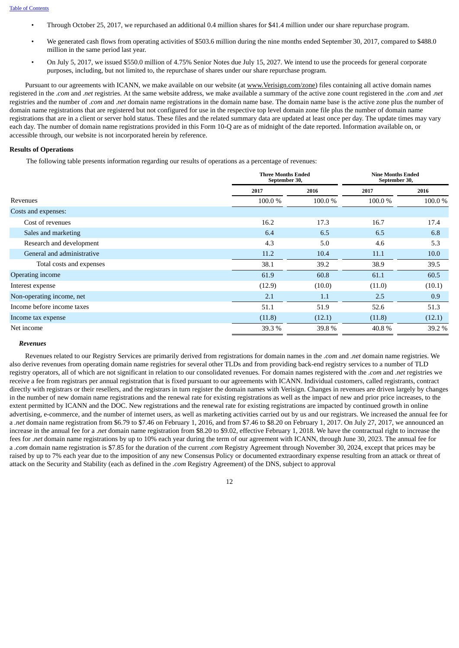- Through October 25, 2017, we repurchased an additional 0.4 million shares for \$41.4 million under our share repurchase program.
- We generated cash flows from operating activities of \$503.6 million during the nine months ended September 30, 2017, compared to \$488.0 million in the same period last year.
- On July 5, 2017, we issued \$550.0 million of 4.75% Senior Notes due July 15, 2027. We intend to use the proceeds for general corporate purposes, including, but not limited to, the repurchase of shares under our share repurchase program.

Pursuant to our agreements with ICANN, we make available on our website (at www.Verisign.com/zone) files containing all active domain names registered in the .*com* and .*net* registries. At the same website address, we make available a summary of the active zone count registered in the .*com* and .*net* registries and the number of .*com* and .*net* domain name registrations in the domain name base. The domain name base is the active zone plus the number of domain name registrations that are registered but not configured for use in the respective top level domain zone file plus the number of domain name registrations that are in a client or server hold status. These files and the related summary data are updated at least once per day. The update times may vary each day. The number of domain name registrations provided in this Form 10-Q are as of midnight of the date reported. Information available on, or accessible through, our website is not incorporated herein by reference.

## **Results of Operations**

The following table presents information regarding our results of operations as a percentage of revenues:

|                            | <b>Three Months Ended</b><br>September 30, |        | <b>Nine Months Ended</b><br>September 30, |        |
|----------------------------|--------------------------------------------|--------|-------------------------------------------|--------|
|                            | 2017                                       | 2016   | 2017                                      | 2016   |
| Revenues                   | 100.0%                                     | 100.0% | 100.0%                                    | 100.0% |
| Costs and expenses:        |                                            |        |                                           |        |
| Cost of revenues           | 16.2                                       | 17.3   | 16.7                                      | 17.4   |
| Sales and marketing        | 6.4                                        | 6.5    | 6.5                                       | 6.8    |
| Research and development   | 4.3                                        | 5.0    | 4.6                                       | 5.3    |
| General and administrative | 11.2                                       | 10.4   | 11.1                                      | 10.0   |
| Total costs and expenses   | 38.1                                       | 39.2   | 38.9                                      | 39.5   |
| Operating income           | 61.9                                       | 60.8   | 61.1                                      | 60.5   |
| Interest expense           | (12.9)                                     | (10.0) | (11.0)                                    | (10.1) |
| Non-operating income, net  | 2.1                                        | 1.1    | 2.5                                       | 0.9    |
| Income before income taxes | 51.1                                       | 51.9   | 52.6                                      | 51.3   |
| Income tax expense         | (11.8)                                     | (12.1) | (11.8)                                    | (12.1) |
| Net income                 | 39.3%                                      | 39.8%  | 40.8%                                     | 39.2 % |

# *Revenues*

Revenues related to our Registry Services are primarily derived from registrations for domain names in the *.com* and *.net* domain name registries. We also derive revenues from operating domain name registries for several other TLDs and from providing back-end registry services to a number of TLD registry operators, all of which are not significant in relation to our consolidated revenues. For domain names registered with the .*com* and .*net* registries we receive a fee from registrars per annual registration that is fixed pursuant to our agreements with ICANN. Individual customers, called registrants, contract directly with registrars or their resellers, and the registrars in turn register the domain names with Verisign. Changes in revenues are driven largely by changes in the number of new domain name registrations and the renewal rate for existing registrations as well as the impact of new and prior price increases, to the extent permitted by ICANN and the DOC. New registrations and the renewal rate for existing registrations are impacted by continued growth in online advertising, e-commerce, and the number of internet users, as well as marketing activities carried out by us and our registrars. We increased the annual fee for a *.net* domain name registration from \$6.79 to \$7.46 on February 1, 2016, and from \$7.46 to \$8.20 on February 1, 2017. On July 27, 2017, we announced an increase in the annual fee for a .*net* domain name registration from \$8.20 to \$9.02, effective February 1, 2018. We have the contractual right to increase the fees for .*net* domain name registrations by up to 10% each year during the term of our agreement with ICANN, through June 30, 2023. The annual fee for a *.com* domain name registration is \$7.85 for the duration of the current *.com* Registry Agreement through November 30, 2024, except that prices may be raised by up to 7% each year due to the imposition of any new Consensus Policy or documented extraordinary expense resulting from an attack or threat of attack on the Security and Stability (each as defined in the *.com* Registry Agreement) of the DNS, subject to approval

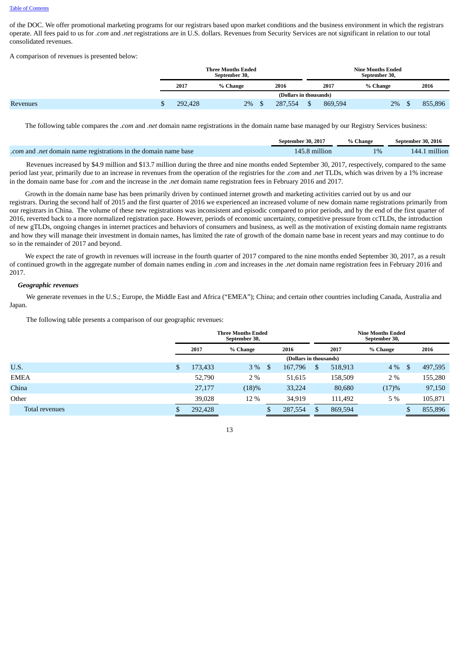#### Table of [Contents](#page-1-0)

of the DOC. We offer promotional marketing programs for our registrars based upon market conditions and the business environment in which the registrars operate. All fees paid to us for *.com* and *.net* registrations are in U.S. dollars. Revenues from Security Services are not significant in relation to our total consolidated revenues.

A comparison of revenues is presented below:

|          | <b>Three Months Ended</b><br>September 30, |          |            |                        |  | <b>Nine Months Ended</b><br>September 30, |          |  |         |  |  |  |
|----------|--------------------------------------------|----------|------------|------------------------|--|-------------------------------------------|----------|--|---------|--|--|--|
|          | 2017                                       | % Change |            | 2016                   |  | 2017                                      | % Change |  | 2016    |  |  |  |
|          |                                            |          |            | (Dollars in thousands) |  |                                           |          |  |         |  |  |  |
| Revenues | 292,428                                    | 2%       | $\uparrow$ | 287,554                |  | 869,594                                   | 2%       |  | 855,896 |  |  |  |

The following table compares the *.com* and *.net* domain name registrations in the domain name base managed by our Registry Services business:

|                                                                | September 30, 2017 | % Change | September 30, 2016 |
|----------------------------------------------------------------|--------------------|----------|--------------------|
| com and .net domain name registrations in the domain name base | 145.8 million      | $1\%$    | 144.1 million      |

Revenues increased by \$4.9 million and \$13.7 million during the three and nine months ended September 30, 2017, respectively, compared to the same period last year, primarily due to an increase in revenues from the operation of the registries for the .*com* and .*net* TLDs, which was driven by a 1% increase in the domain name base for .*com* and the increase in the .*net* domain name registration fees in February 2016 and 2017.

Growth in the domain name base has been primarily driven by continued internet growth and marketing activities carried out by us and our registrars. During the second half of 2015 and the first quarter of 2016 we experienced an increased volume of new domain name registrations primarily from our registrars in China. The volume of these new registrations was inconsistent and episodic compared to prior periods, and by the end of the first quarter of 2016, reverted back to a more normalized registration pace. However, periods of economic uncertainty, competitive pressure from ccTLDs, the introduction of new gTLDs, ongoing changes in internet practices and behaviors of consumers and business, as well as the motivation of existing domain name registrants and how they will manage their investment in domain names, has limited the rate of growth of the domain name base in recent years and may continue to do so in the remainder of 2017 and beyond.

We expect the rate of growth in revenues will increase in the fourth quarter of 2017 compared to the nine months ended September 30, 2017, as a result of continued growth in the aggregate number of domain names ending in .*com* and increases in the .*net* domain name registration fees in February 2016 and 2017.

#### *Geographic revenues*

We generate revenues in the U.S.; Europe, the Middle East and Africa ("EMEA"); China; and certain other countries including Canada, Australia and Japan.

The following table presents a comparison of our geographic revenues:

|                | <b>Three Months Ended</b><br>September 30, |         |          |     |                        | <b>Nine Months Ended</b><br>September 30, |         |          |  |         |  |
|----------------|--------------------------------------------|---------|----------|-----|------------------------|-------------------------------------------|---------|----------|--|---------|--|
|                |                                            | 2017    | % Change |     | 2016                   |                                           | 2017    | % Change |  | 2016    |  |
|                |                                            |         |          |     | (Dollars in thousands) |                                           |         |          |  |         |  |
| U.S.           | \$                                         | 173,433 | $3\%$    | -\$ | 167,796                | \$                                        | 518,913 | 4 %      |  | 497,595 |  |
| <b>EMEA</b>    |                                            | 52,790  | $2\%$    |     | 51,615                 |                                           | 158,509 | 2 %      |  | 155,280 |  |
| China          |                                            | 27,177  | (18)%    |     | 33,224                 |                                           | 80,680  | (17)%    |  | 97,150  |  |
| Other          |                                            | 39,028  | 12 %     |     | 34,919                 |                                           | 111,492 | 5 %      |  | 105,871 |  |
| Total revenues |                                            | 292,428 |          | \$  | 287,554                | $\mathcal{S}$                             | 869,594 |          |  | 855,896 |  |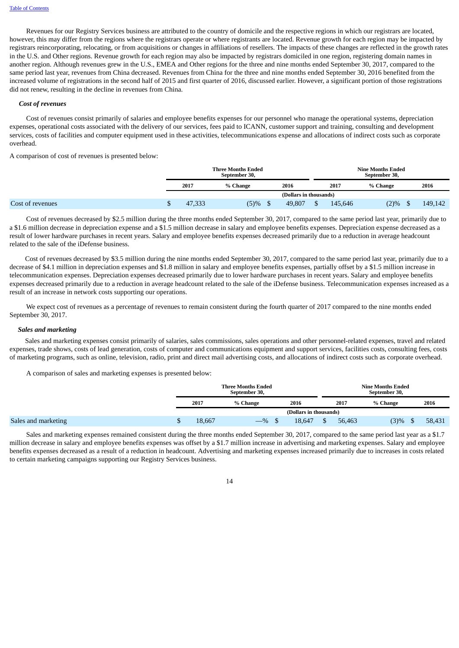Revenues for our Registry Services business are attributed to the country of domicile and the respective regions in which our registrars are located, however, this may differ from the regions where the registrars operate or where registrants are located. Revenue growth for each region may be impacted by registrars reincorporating, relocating, or from acquisitions or changes in affiliations of resellers. The impacts of these changes are reflected in the growth rates in the U.S. and Other regions. Revenue growth for each region may also be impacted by registrars domiciled in one region, registering domain names in another region. Although revenues grew in the U.S., EMEA and Other regions for the three and nine months ended September 30, 2017, compared to the same period last year, revenues from China decreased. Revenues from China for the three and nine months ended September 30, 2016 benefited from the increased volume of registrations in the second half of 2015 and first quarter of 2016, discussed earlier. However, a significant portion of those registrations did not renew, resulting in the decline in revenues from China.

#### *Cost of revenues*

Cost of revenues consist primarily of salaries and employee benefits expenses for our personnel who manage the operational systems, depreciation expenses, operational costs associated with the delivery of our services, fees paid to ICANN, customer support and training, consulting and development services, costs of facilities and computer equipment used in these activities, telecommunications expense and allocations of indirect costs such as corporate overhead.

A comparison of cost of revenues is presented below:

|                  | <b>Three Months Ended</b><br>September 30, |  |                  |  |                        | <b>Nine Months Ended</b><br>September 30, |         |          |  |         |  |  |
|------------------|--------------------------------------------|--|------------------|--|------------------------|-------------------------------------------|---------|----------|--|---------|--|--|
|                  | 2017                                       |  | 2016<br>% Change |  |                        |                                           | 2017    | % Change |  | 2016    |  |  |
|                  |                                            |  |                  |  | (Dollars in thousands) |                                           |         |          |  |         |  |  |
| Cost of revenues | 47,333                                     |  | (5)%             |  | 49,807                 |                                           | 145.646 | (2)%     |  | 149,142 |  |  |

Cost of revenues decreased by \$2.5 million during the three months ended September 30, 2017, compared to the same period last year, primarily due to a \$1.6 million decrease in depreciation expense and a \$1.5 million decrease in salary and employee benefits expenses. Depreciation expense decreased as a result of lower hardware purchases in recent years. Salary and employee benefits expenses decreased primarily due to a reduction in average headcount related to the sale of the iDefense business.

Cost of revenues decreased by \$3.5 million during the nine months ended September 30, 2017, compared to the same period last year, primarily due to a decrease of \$4.1 million in depreciation expenses and \$1.8 million in salary and employee benefits expenses, partially offset by a \$1.5 million increase in telecommunication expenses. Depreciation expenses decreased primarily due to lower hardware purchases in recent years. Salary and employee benefits expenses decreased primarily due to a reduction in average headcount related to the sale of the iDefense business. Telecommunication expenses increased as a result of an increase in network costs supporting our operations.

We expect cost of revenues as a percentage of revenues to remain consistent during the fourth quarter of 2017 compared to the nine months ended September 30, 2017.

#### *Sales and marketing*

Sales and marketing expenses consist primarily of salaries, sales commissions, sales operations and other personnel-related expenses, travel and related expenses, trade shows, costs of lead generation, costs of computer and communications equipment and support services, facilities costs, consulting fees, costs of marketing programs, such as online, television, radio, print and direct mail advertising costs, and allocations of indirect costs such as corporate overhead.

A comparison of sales and marketing expenses is presented below:

|                     |        | <b>Three Months Ended</b><br>September 30, |                        |  |        |          |  |        |
|---------------------|--------|--------------------------------------------|------------------------|--|--------|----------|--|--------|
|                     | 2017   | % Change                                   | 2016                   |  | 2017   | % Change |  | 2016   |
|                     |        |                                            | (Dollars in thousands) |  |        |          |  |        |
| Sales and marketing | 18,667 | $-$ %                                      | 18.647                 |  | 56,463 | (3)%     |  | 58,431 |

Sales and marketing expenses remained consistent during the three months ended September 30, 2017, compared to the same period last year as a \$1.7 million decrease in salary and employee benefits expenses was offset by a \$1.7 million increase in advertising and marketing expenses. Salary and employee benefits expenses decreased as a result of a reduction in headcount. Advertising and marketing expenses increased primarily due to increases in costs related to certain marketing campaigns supporting our Registry Services business.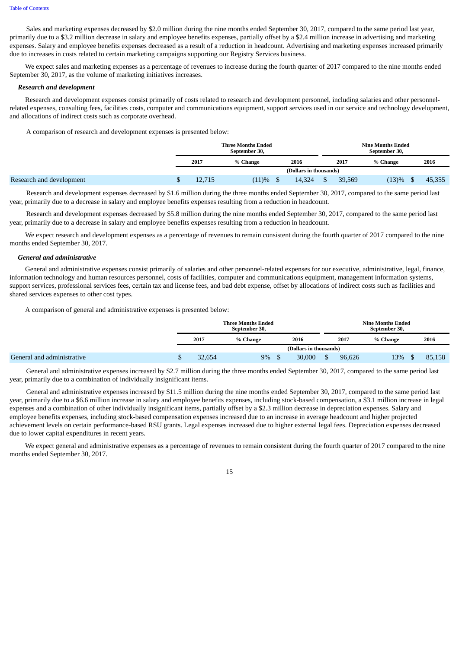Sales and marketing expenses decreased by \$2.0 million during the nine months ended September 30, 2017, compared to the same period last year, primarily due to a \$3.2 million decrease in salary and employee benefits expenses, partially offset by a \$2.4 million increase in advertising and marketing expenses. Salary and employee benefits expenses decreased as a result of a reduction in headcount. Advertising and marketing expenses increased primarily due to increases in costs related to certain marketing campaigns supporting our Registry Services business.

We expect sales and marketing expenses as a percentage of revenues to increase during the fourth quarter of 2017 compared to the nine months ended September 30, 2017, as the volume of marketing initiatives increases.

#### *Research and development*

Research and development expenses consist primarily of costs related to research and development personnel, including salaries and other personnelrelated expenses, consulting fees, facilities costs, computer and communications equipment, support services used in our service and technology development, and allocations of indirect costs such as corporate overhead.

A comparison of research and development expenses is presented below:

|                          |   | <b>Three Months Ended</b><br>September 30, |          |  |                        |  | <b>Nine Months Ended</b><br>September 30, |          |  |        |  |  |
|--------------------------|---|--------------------------------------------|----------|--|------------------------|--|-------------------------------------------|----------|--|--------|--|--|
|                          |   | 2017                                       | % Change |  | 2016                   |  | 2017                                      | % Change |  | 2016   |  |  |
|                          |   |                                            |          |  | (Dollars in thousands) |  |                                           |          |  |        |  |  |
| Research and development | w | 12,715                                     | (11)%    |  | 14.324                 |  | 39,569                                    | (13)%    |  | 45,355 |  |  |

Research and development expenses decreased by \$1.6 million during the three months ended September 30, 2017, compared to the same period last year, primarily due to a decrease in salary and employee benefits expenses resulting from a reduction in headcount.

Research and development expenses decreased by \$5.8 million during the nine months ended September 30, 2017, compared to the same period last year, primarily due to a decrease in salary and employee benefits expenses resulting from a reduction in headcount.

We expect research and development expenses as a percentage of revenues to remain consistent during the fourth quarter of 2017 compared to the nine months ended September 30, 2017.

#### *General and administrative*

General and administrative expenses consist primarily of salaries and other personnel-related expenses for our executive, administrative, legal, finance, information technology and human resources personnel, costs of facilities, computer and communications equipment, management information systems, support services, professional services fees, certain tax and license fees, and bad debt expense, offset by allocations of indirect costs such as facilities and shared services expenses to other cost types.

A comparison of general and administrative expenses is presented below:

|                            | <b>Three Months Ended</b><br>September 30, |          |    |  |                        |  | <b>Nine Months Ended</b><br>September 30, |          |  |        |  |  |
|----------------------------|--------------------------------------------|----------|----|--|------------------------|--|-------------------------------------------|----------|--|--------|--|--|
|                            | 2017                                       | % Change |    |  | 2016                   |  | 2017                                      | % Change |  | 2016   |  |  |
|                            |                                            |          |    |  | (Dollars in thousands) |  |                                           |          |  |        |  |  |
| General and administrative | 32,654                                     |          | 9% |  | 30,000                 |  | 96.626                                    | 13%      |  | 85,158 |  |  |

General and administrative expenses increased by \$2.7 million during the three months ended September 30, 2017, compared to the same period last year, primarily due to a combination of individually insignificant items.

General and administrative expenses increased by \$11.5 million during the nine months ended September 30, 2017, compared to the same period last year, primarily due to a \$6.6 million increase in salary and employee benefits expenses, including stock-based compensation, a \$3.1 million increase in legal expenses and a combination of other individually insignificant items, partially offset by a \$2.3 million decrease in depreciation expenses. Salary and employee benefits expenses, including stock-based compensation expenses increased due to an increase in average headcount and higher projected achievement levels on certain performance-based RSU grants. Legal expenses increased due to higher external legal fees. Depreciation expenses decreased due to lower capital expenditures in recent years.

We expect general and administrative expenses as a percentage of revenues to remain consistent during the fourth quarter of 2017 compared to the nine months ended September 30, 2017.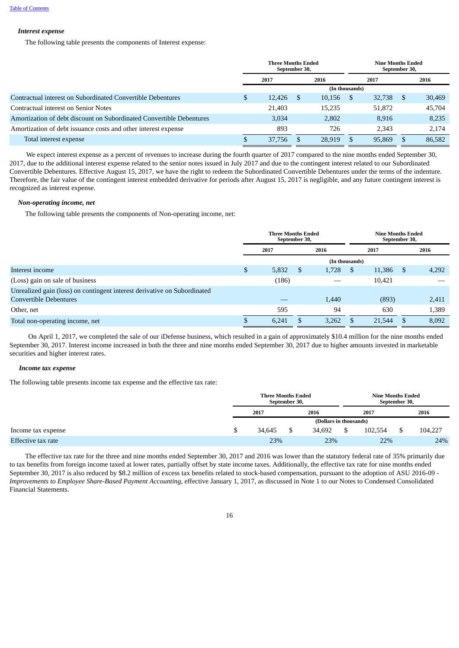### *Interest expense*

The following table presents the components of Interest expense:

|                                                                      |    | <b>Three Months Ended</b><br>September 30, |      | <b>Nine Months Ended</b><br>September 30, |                |        |      |        |
|----------------------------------------------------------------------|----|--------------------------------------------|------|-------------------------------------------|----------------|--------|------|--------|
|                                                                      |    | 2017                                       | 2016 |                                           | 2017           |        | 2016 |        |
|                                                                      |    |                                            |      |                                           | (In thousands) |        |      |        |
| Contractual interest on Subordinated Convertible Debentures          | \$ | 12,426                                     |      | 10,156                                    |                | 32,738 | S    | 30,469 |
| Contractual interest on Senior Notes                                 |    | 21,403                                     |      | 15,235                                    |                | 51,872 |      | 45,704 |
| Amortization of debt discount on Subordinated Convertible Debentures |    | 3.034                                      |      | 2,802                                     |                | 8.916  |      | 8,235  |
| Amortization of debt issuance costs and other interest expense       |    | 893                                        |      | 726                                       |                | 2.343  |      | 2,174  |
| Total interest expense                                               | S  | 37,756                                     |      | 28,919                                    |                | 95,869 |      | 86,582 |

We expect interest expense as a percent of revenues to increase during the fourth quarter of 2017 compared to the nine months ended September 30, 2017, due to the additional interest expense related to the senior notes issued in July 2017 and due to the contingent interest related to our Subordinated Convertible Debentures. Effective August 15, 2017, we have the right to redeem the Subordinated Convertible Debentures under the terms of the indenture. Therefore, the fair value of the contingent interest embedded derivative for periods after August 15, 2017 is negligible, and any future contingent interest is recognized as interest expense.

#### *Non-operating income, net*

The following table presents the components of Non-operating income, net:

|                                                                                                           | <b>Three Months Ended</b> | September 30, |       |                | <b>Nine Months Ended</b><br>September 30, |    |       |
|-----------------------------------------------------------------------------------------------------------|---------------------------|---------------|-------|----------------|-------------------------------------------|----|-------|
|                                                                                                           | 2017                      |               | 2016  |                | 2017                                      |    | 2016  |
|                                                                                                           |                           |               |       | (In thousands) |                                           |    |       |
| Interest income                                                                                           | \$<br>5,832               | S             | 1.728 | -S             | 11,386                                    | -S | 4,292 |
| (Loss) gain on sale of business                                                                           | (186)                     |               |       |                | 10,421                                    |    |       |
| Unrealized gain (loss) on contingent interest derivative on Subordinated<br><b>Convertible Debentures</b> |                           |               | 1,440 |                | (893)                                     |    | 2,411 |
| Other, net                                                                                                | 595                       |               | 94    |                | 630                                       |    | 1,389 |
| Total non-operating income, net                                                                           | \$<br>6,241               | \$            | 3.262 |                | 21,544                                    |    | 8.092 |

On April 1, 2017, we completed the sale of our iDefense business, which resulted in a gain of approximately \$10.4 million for the nine months ended September 30, 2017. Interest income increased in both the three and nine months ended September 30, 2017 due to higher amounts invested in marketable securities and higher interest rates.

#### *Income tax expense*

The following table presents income tax expense and the effective tax rate:

|  | <b>Three Months Ended</b><br>September 30, |      |        |                        | <b>Nine Months Ended</b><br>September 30, |            |         |  |
|--|--------------------------------------------|------|--------|------------------------|-------------------------------------------|------------|---------|--|
|  | 2017                                       | 2016 |        | 2017                   | 2016                                      |            |         |  |
|  |                                            |      |        | (Dollars in thousands) |                                           |            |         |  |
|  | 34.645                                     | \$   | 34,692 |                        | 102,554                                   |            | 104,227 |  |
|  | 23%                                        |      | 23%    |                        |                                           | 22%<br>24% |         |  |

The effective tax rate for the three and nine months ended September 30, 2017 and 2016 was lower than the statutory federal rate of 35% primarily due to tax benefits from foreign income taxed at lower rates, partially offset by state income taxes. Additionally, the effective tax rate for nine months ended September 30, 2017 is also reduced by \$8.2 million of excess tax benefits related to stock-based compensation, pursuant to the adoption of ASU 2016-09 - *Improvements to Employee Share-Based Payment Accounting*, effective January 1, 2017, as discussed in Note 1 to our Notes to Condensed Consolidated Financial Statements.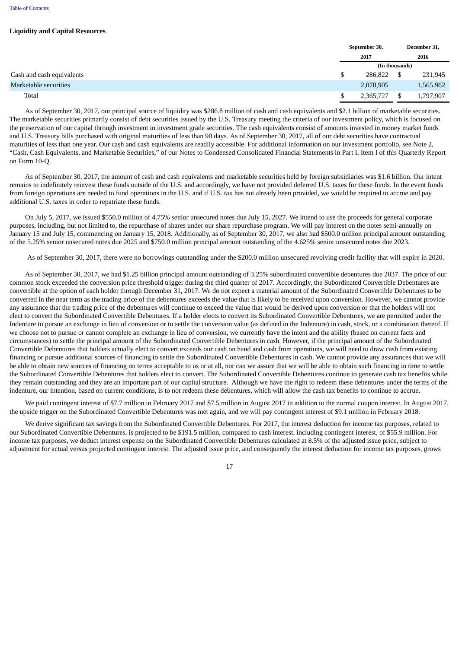# **Liquidity and Capital Resources**

|                           | September 30, | December 31,   |           |  |
|---------------------------|---------------|----------------|-----------|--|
|                           | 2017          |                | 2016      |  |
|                           |               | (In thousands) |           |  |
| Cash and cash equivalents | 286,822       |                | 231,945   |  |
| Marketable securities     | 2,078,905     |                | 1,565,962 |  |
| Total                     | 2,365,727     |                | 1,797,907 |  |

As of September 30, 2017, our principal source of liquidity was \$286.8 million of cash and cash equivalents and \$2.1 billion of marketable securities. The marketable securities primarily consist of debt securities issued by the U.S. Treasury meeting the criteria of our investment policy, which is focused on the preservation of our capital through investment in investment grade securities. The cash equivalents consist of amounts invested in money market funds and U.S. Treasury bills purchased with original maturities of less than 90 days. As of September 30, 2017, all of our debt securities have contractual maturities of less than one year. Our cash and cash equivalents are readily accessible. For additional information on our investment portfolio, see Note 2, "Cash, Cash Equivalents, and Marketable Securities," of our Notes to Condensed Consolidated Financial Statements in Part I, Item I of this Quarterly Report on Form 10-Q.

As of September 30, 2017, the amount of cash and cash equivalents and marketable securities held by foreign subsidiaries was \$1.6 billion. Our intent remains to indefinitely reinvest these funds outside of the U.S. and accordingly, we have not provided deferred U.S. taxes for these funds. In the event funds from foreign operations are needed to fund operations in the U.S. and if U.S. tax has not already been provided, we would be required to accrue and pay additional U.S. taxes in order to repatriate these funds.

On July 5, 2017, we issued \$550.0 million of 4.75% senior unsecured notes due July 15, 2027. We intend to use the proceeds for general corporate purposes, including, but not limited to, the repurchase of shares under our share repurchase program. We will pay interest on the notes semi-annually on January 15 and July 15, commencing on January 15, 2018. Additionally, as of September 30, 2017, we also had \$500.0 million principal amount outstanding of the 5.25% senior unsecured notes due 2025 and \$750.0 million principal amount outstanding of the 4.625% senior unsecured notes due 2023.

As of September 30, 2017, there were no borrowings outstanding under the \$200.0 million unsecured revolving credit facility that will expire in 2020.

As of September 30, 2017, we had \$1.25 billion principal amount outstanding of 3.25% subordinated convertible debentures due 2037. The price of our common stock exceeded the conversion price threshold trigger during the third quarter of 2017. Accordingly, the Subordinated Convertible Debentures are convertible at the option of each holder through December 31, 2017. We do not expect a material amount of the Subordinated Convertible Debentures to be converted in the near term as the trading price of the debentures exceeds the value that is likely to be received upon conversion. However, we cannot provide any assurance that the trading price of the debentures will continue to exceed the value that would be derived upon conversion or that the holders will not elect to convert the Subordinated Convertible Debentures. If a holder elects to convert its Subordinated Convertible Debentures, we are permitted under the Indenture to pursue an exchange in lieu of conversion or to settle the conversion value (as defined in the Indenture) in cash, stock, or a combination thereof. If we choose not to pursue or cannot complete an exchange in lieu of conversion, we currently have the intent and the ability (based on current facts and circumstances) to settle the principal amount of the Subordinated Convertible Debentures in cash. However, if the principal amount of the Subordinated Convertible Debentures that holders actually elect to convert exceeds our cash on hand and cash from operations, we will need to draw cash from existing financing or pursue additional sources of financing to settle the Subordinated Convertible Debentures in cash. We cannot provide any assurances that we will be able to obtain new sources of financing on terms acceptable to us or at all, nor can we assure that we will be able to obtain such financing in time to settle the Subordinated Convertible Debentures that holders elect to convert. The Subordinated Convertible Debentures continue to generate cash tax benefits while they remain outstanding and they are an important part of our capital structure. Although we have the right to redeem these debentures under the terms of the indenture, our intention, based on current conditions, is to not redeem these debentures, which will allow the cash tax benefits to continue to accrue.

We paid contingent interest of \$7.7 million in February 2017 and \$7.5 million in August 2017 in addition to the normal coupon interest. In August 2017, the upside trigger on the Subordinated Convertible Debentures was met again, and we will pay contingent interest of \$9.1 million in February 2018.

We derive significant tax savings from the Subordinated Convertible Debentures. For 2017, the interest deduction for income tax purposes, related to our Subordinated Convertible Debentures, is projected to be \$191.5 million, compared to cash interest, including contingent interest, of \$55.9 million. For income tax purposes, we deduct interest expense on the Subordinated Convertible Debentures calculated at 8.5% of the adjusted issue price, subject to adjustment for actual versus projected contingent interest. The adjusted issue price, and consequently the interest deduction for income tax purposes, grows

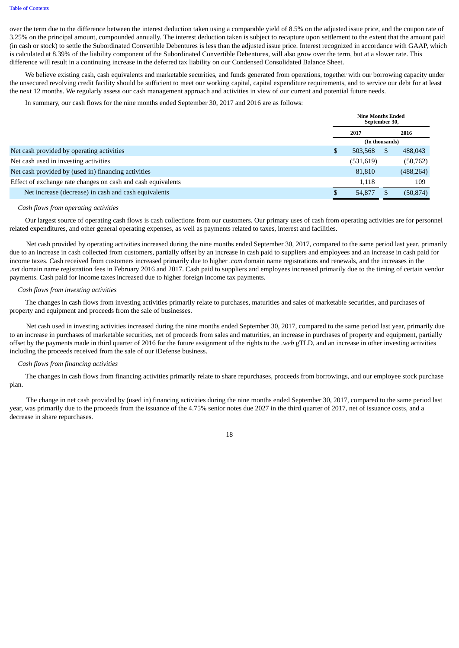over the term due to the difference between the interest deduction taken using a comparable yield of 8.5% on the adjusted issue price, and the coupon rate of 3.25% on the principal amount, compounded annually. The interest deduction taken is subject to recapture upon settlement to the extent that the amount paid (in cash or stock) to settle the Subordinated Convertible Debentures is less than the adjusted issue price. Interest recognized in accordance with GAAP, which is calculated at 8.39% of the liability component of the Subordinated Convertible Debentures, will also grow over the term, but at a slower rate. This difference will result in a continuing increase in the deferred tax liability on our Condensed Consolidated Balance Sheet.

We believe existing cash, cash equivalents and marketable securities, and funds generated from operations, together with our borrowing capacity under the unsecured revolving credit facility should be sufficient to meet our working capital, capital expenditure requirements, and to service our debt for at least the next 12 months. We regularly assess our cash management approach and activities in view of our current and potential future needs.

In summary, our cash flows for the nine months ended September 30, 2017 and 2016 are as follows:

|                                                              | <b>Nine Months Ended</b><br>September 30, |           |  |            |
|--------------------------------------------------------------|-------------------------------------------|-----------|--|------------|
|                                                              | 2017                                      |           |  | 2016       |
|                                                              | (In thousands)                            |           |  |            |
| Net cash provided by operating activities                    | \$                                        | 503.568   |  | 488,043    |
| Net cash used in investing activities                        |                                           | (531,619) |  | (50, 762)  |
| Net cash provided by (used in) financing activities          |                                           | 81,810    |  | (488, 264) |
| Effect of exchange rate changes on cash and cash equivalents |                                           | 1.118     |  | 109        |
| Net increase (decrease) in cash and cash equivalents         |                                           | 54,877    |  | (50, 874)  |

#### *Cash flows from operating activities*

Our largest source of operating cash flows is cash collections from our customers. Our primary uses of cash from operating activities are for personnel related expenditures, and other general operating expenses, as well as payments related to taxes, interest and facilities.

Net cash provided by operating activities increased during the nine months ended September 30, 2017, compared to the same period last year, primarily due to an increase in cash collected from customers, partially offset by an increase in cash paid to suppliers and employees and an increase in cash paid for income taxes. Cash received from customers increased primarily due to higher .*com* domain name registrations and renewals, and the increases in the .*net* domain name registration fees in February 2016 and 2017. Cash paid to suppliers and employees increased primarily due to the timing of certain vendor payments. Cash paid for income taxes increased due to higher foreign income tax payments.

#### *Cash flows from investing activities*

The changes in cash flows from investing activities primarily relate to purchases, maturities and sales of marketable securities, and purchases of property and equipment and proceeds from the sale of businesses.

Net cash used in investing activities increased during the nine months ended September 30, 2017, compared to the same period last year, primarily due to an increase in purchases of marketable securities, net of proceeds from sales and maturities, an increase in purchases of property and equipment, partially offset by the payments made in third quarter of 2016 for the future assignment of the rights to the *.web* gTLD, and an increase in other investing activities including the proceeds received from the sale of our iDefense business.

#### *Cash flows from financing activities*

The changes in cash flows from financing activities primarily relate to share repurchases, proceeds from borrowings, and our employee stock purchase plan.

The change in net cash provided by (used in) financing activities during the nine months ended September 30, 2017, compared to the same period last year, was primarily due to the proceeds from the issuance of the 4.75% senior notes due 2027 in the third quarter of 2017, net of issuance costs, and a decrease in share repurchases.

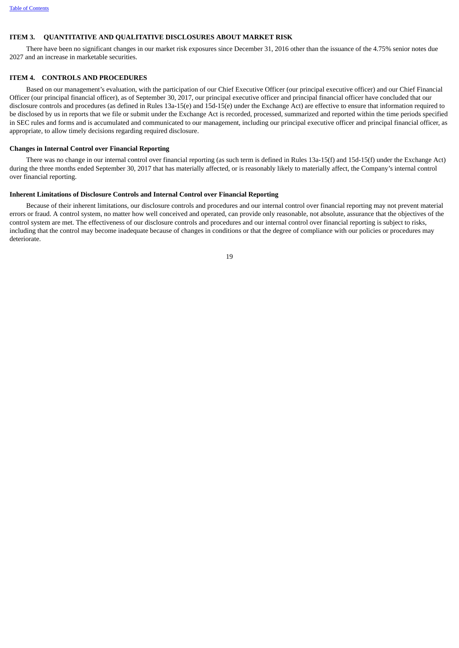## <span id="page-18-0"></span>**ITEM 3. QUANTITATIVE AND QUALITATIVE DISCLOSURES ABOUT MARKET RISK**

There have been no significant changes in our market risk exposures since December 31, 2016 other than the issuance of the 4.75% senior notes due 2027 and an increase in marketable securities.

## <span id="page-18-1"></span>**ITEM 4. CONTROLS AND PROCEDURES**

Based on our management's evaluation, with the participation of our Chief Executive Officer (our principal executive officer) and our Chief Financial Officer (our principal financial officer), as of September 30, 2017, our principal executive officer and principal financial officer have concluded that our disclosure controls and procedures (as defined in Rules 13a-15(e) and 15d-15(e) under the Exchange Act) are effective to ensure that information required to be disclosed by us in reports that we file or submit under the Exchange Act is recorded, processed, summarized and reported within the time periods specified in SEC rules and forms and is accumulated and communicated to our management, including our principal executive officer and principal financial officer, as appropriate, to allow timely decisions regarding required disclosure.

#### **Changes in Internal Control over Financial Reporting**

There was no change in our internal control over financial reporting (as such term is defined in Rules 13a-15(f) and 15d-15(f) under the Exchange Act) during the three months ended September 30, 2017 that has materially affected, or is reasonably likely to materially affect, the Company's internal control over financial reporting.

### **Inherent Limitations of Disclosure Controls and Internal Control over Financial Reporting**

Because of their inherent limitations, our disclosure controls and procedures and our internal control over financial reporting may not prevent material errors or fraud. A control system, no matter how well conceived and operated, can provide only reasonable, not absolute, assurance that the objectives of the control system are met. The effectiveness of our disclosure controls and procedures and our internal control over financial reporting is subject to risks, including that the control may become inadequate because of changes in conditions or that the degree of compliance with our policies or procedures may deteriorate.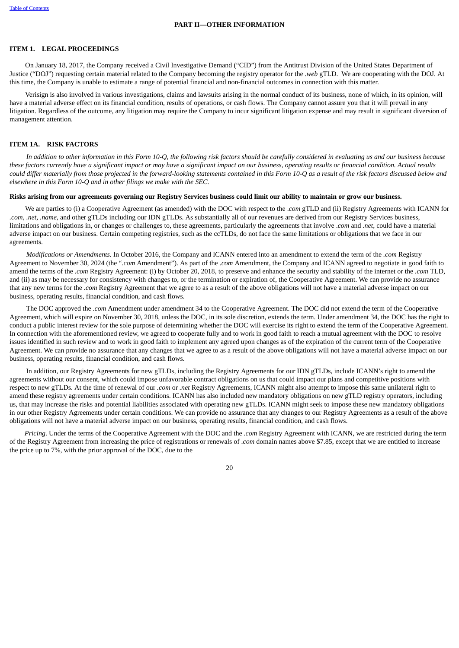#### **PART II—OTHER INFORMATION**

### <span id="page-19-1"></span><span id="page-19-0"></span>**ITEM 1. LEGAL PROCEEDINGS**

On January 18, 2017, the Company received a Civil Investigative Demand ("CID") from the Antitrust Division of the United States Department of Justice ("DOJ") requesting certain material related to the Company becoming the registry operator for the .*web* gTLD. We are cooperating with the DOJ. At this time, the Company is unable to estimate a range of potential financial and non-financial outcomes in connection with this matter.

Verisign is also involved in various investigations, claims and lawsuits arising in the normal conduct of its business, none of which, in its opinion, will have a material adverse effect on its financial condition, results of operations, or cash flows. The Company cannot assure you that it will prevail in any litigation. Regardless of the outcome, any litigation may require the Company to incur significant litigation expense and may result in significant diversion of management attention.

#### <span id="page-19-2"></span>**ITEM 1A. RISK FACTORS**

In addition to other information in this Form 10-O, the following risk factors should be carefully considered in evaluating us and our business because these factors currently have a significant impact or may have a significant impact on our business, operating results or financial condition. Actual results could differ materially from those projected in the forward-looking statements contained in this Form 10-O as a result of the risk factors discussed below and *elsewhere in this Form 10-Q and in other filings we make with the SEC.*

#### Risks arising from our agreements governing our Registry Services business could limit our ability to maintain or grow our business.

We are parties to (i) a Cooperative Agreement (as amended) with the DOC with respect to the .*com* gTLD and (ii) Registry Agreements with ICANN for *.com*, *.net, .name,* and other gTLDs including our IDN gTLDs. As substantially all of our revenues are derived from our Registry Services business, limitations and obligations in, or changes or challenges to, these agreements, particularly the agreements that involve .*com* and .*net*, could have a material adverse impact on our business. Certain competing registries, such as the ccTLDs, do not face the same limitations or obligations that we face in our agreements.

*Modifications or Amendments.* In October 2016, the Company and ICANN entered into an amendment to extend the term of the *.com* Registry Agreement to November 30, 2024 (the "*.com* Amendment"). As part of the *.com* Amendment, the Company and ICANN agreed to negotiate in good faith to amend the terms of the *.com* Registry Agreement: (i) by October 20, 2018, to preserve and enhance the security and stability of the internet or the *.com* TLD, and (ii) as may be necessary for consistency with changes to, or the termination or expiration of, the Cooperative Agreement. We can provide no assurance that any new terms for the *.com* Registry Agreement that we agree to as a result of the above obligations will not have a material adverse impact on our business, operating results, financial condition, and cash flows.

The DOC approved the .*com* Amendment under amendment 34 to the Cooperative Agreement. The DOC did not extend the term of the Cooperative Agreement, which will expire on November 30, 2018, unless the DOC, in its sole discretion, extends the term. Under amendment 34, the DOC has the right to conduct a public interest review for the sole purpose of determining whether the DOC will exercise its right to extend the term of the Cooperative Agreement. In connection with the aforementioned review, we agreed to cooperate fully and to work in good faith to reach a mutual agreement with the DOC to resolve issues identified in such review and to work in good faith to implement any agreed upon changes as of the expiration of the current term of the Cooperative Agreement. We can provide no assurance that any changes that we agree to as a result of the above obligations will not have a material adverse impact on our business, operating results, financial condition, and cash flows.

In addition, our Registry Agreements for new gTLDs, including the Registry Agreements for our IDN gTLDs, include ICANN's right to amend the agreements without our consent, which could impose unfavorable contract obligations on us that could impact our plans and competitive positions with respect to new gTLDs. At the time of renewal of our *.com* or *.net* Registry Agreements, ICANN might also attempt to impose this same unilateral right to amend these registry agreements under certain conditions. ICANN has also included new mandatory obligations on new gTLD registry operators, including us, that may increase the risks and potential liabilities associated with operating new gTLDs. ICANN might seek to impose these new mandatory obligations in our other Registry Agreements under certain conditions. We can provide no assurance that any changes to our Registry Agreements as a result of the above obligations will not have a material adverse impact on our business, operating results, financial condition, and cash flows.

*Pricing*. Under the terms of the Cooperative Agreement with the DOC and the *.com* Registry Agreement with ICANN, we are restricted during the term of the Registry Agreement from increasing the price of registrations or renewals of .*com* domain names above \$7.85, except that we are entitled to increase the price up to 7%, with the prior approval of the DOC, due to the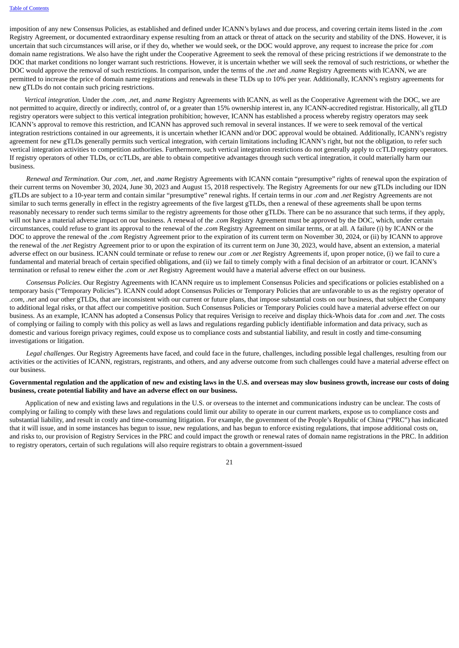imposition of any new Consensus Policies, as established and defined under ICANN's bylaws and due process, and covering certain items listed in the .*com* Registry Agreement, or documented extraordinary expense resulting from an attack or threat of attack on the security and stability of the DNS. However, it is uncertain that such circumstances will arise, or if they do, whether we would seek, or the DOC would approve, any request to increase the price for *.com* domain name registrations. We also have the right under the Cooperative Agreement to seek the removal of these pricing restrictions if we demonstrate to the DOC that market conditions no longer warrant such restrictions. However, it is uncertain whether we will seek the removal of such restrictions, or whether the DOC would approve the removal of such restrictions. In comparison, under the terms of the *.net* and *.name* Registry Agreements with ICANN, we are permitted to increase the price of domain name registrations and renewals in these TLDs up to 10% per year. Additionally, ICANN's registry agreements for new gTLDs do not contain such pricing restrictions.

*Vertical integration*. Under the *.com*, .*net,* and .*name* Registry Agreements with ICANN, as well as the Cooperative Agreement with the DOC, we are not permitted to acquire, directly or indirectly, control of, or a greater than 15% ownership interest in, any ICANN-accredited registrar. Historically, all gTLD registry operators were subject to this vertical integration prohibition; however, ICANN has established a process whereby registry operators may seek ICANN's approval to remove this restriction, and ICANN has approved such removal in several instances. If we were to seek removal of the vertical integration restrictions contained in our agreements, it is uncertain whether ICANN and/or DOC approval would be obtained. Additionally, ICANN's registry agreement for new gTLDs generally permits such vertical integration, with certain limitations including ICANN's right, but not the obligation, to refer such vertical integration activities to competition authorities. Furthermore, such vertical integration restrictions do not generally apply to ccTLD registry operators. If registry operators of other TLDs, or ccTLDs, are able to obtain competitive advantages through such vertical integration, it could materially harm our business.

*Renewal and Termination*. Our .*com*, .*net,* and .*name* Registry Agreements with ICANN contain "presumptive" rights of renewal upon the expiration of their current terms on November 30, 2024, June 30, 2023 and August 15, 2018 respectively. The Registry Agreements for our new gTLDs including our IDN gTLDs are subject to a 10-year term and contain similar "presumptive" renewal rights. If certain terms in our *.com* and *.net* Registry Agreements are not similar to such terms generally in effect in the registry agreements of the five largest gTLDs, then a renewal of these agreements shall be upon terms reasonably necessary to render such terms similar to the registry agreements for those other gTLDs. There can be no assurance that such terms, if they apply, will not have a material adverse impact on our business. A renewal of the .*com* Registry Agreement must be approved by the DOC, which, under certain circumstances, could refuse to grant its approval to the renewal of the *.com* Registry Agreement on similar terms, or at all. A failure (i) by ICANN or the DOC to approve the renewal of the *.com* Registry Agreement prior to the expiration of its current term on November 30, 2024, or (ii) by ICANN to approve the renewal of the .*net* Registry Agreement prior to or upon the expiration of its current term on June 30, 2023, would have, absent an extension, a material adverse effect on our business. ICANN could terminate or refuse to renew our .*com* or .*net* Registry Agreements if, upon proper notice, (i) we fail to cure a fundamental and material breach of certain specified obligations, and (ii) we fail to timely comply with a final decision of an arbitrator or court. ICANN's termination or refusal to renew either the .*com* or .*net* Registry Agreement would have a material adverse effect on our business.

*Consensus Policies*. Our Registry Agreements with ICANN require us to implement Consensus Policies and specifications or policies established on a temporary basis ("Temporary Policies"). ICANN could adopt Consensus Policies or Temporary Policies that are unfavorable to us as the registry operator of *.com*, *.net* and our other gTLDs, that are inconsistent with our current or future plans, that impose substantial costs on our business, that subject the Company to additional legal risks, or that affect our competitive position. Such Consensus Policies or Temporary Policies could have a material adverse effect on our business. As an example, ICANN has adopted a Consensus Policy that requires Verisign to receive and display thick-Whois data for *.com* and .*net*. The costs of complying or failing to comply with this policy as well as laws and regulations regarding publicly identifiable information and data privacy, such as domestic and various foreign privacy regimes, could expose us to compliance costs and substantial liability, and result in costly and time-consuming investigations or litigation.

*Legal challenges*. Our Registry Agreements have faced, and could face in the future, challenges, including possible legal challenges, resulting from our activities or the activities of ICANN, registrars, registrants, and others, and any adverse outcome from such challenges could have a material adverse effect on our business.

## Governmental regulation and the application of new and existing laws in the U.S. and overseas may slow business growth, increase our costs of doing **business, create potential liability and have an adverse effect on our business.**

Application of new and existing laws and regulations in the U.S. or overseas to the internet and communications industry can be unclear. The costs of complying or failing to comply with these laws and regulations could limit our ability to operate in our current markets, expose us to compliance costs and substantial liability, and result in costly and time-consuming litigation. For example, the government of the People's Republic of China ("PRC") has indicated that it will issue, and in some instances has begun to issue, new regulations, and has begun to enforce existing regulations, that impose additional costs on, and risks to, our provision of Registry Services in the PRC and could impact the growth or renewal rates of domain name registrations in the PRC. In addition to registry operators, certain of such regulations will also require registrars to obtain a government-issued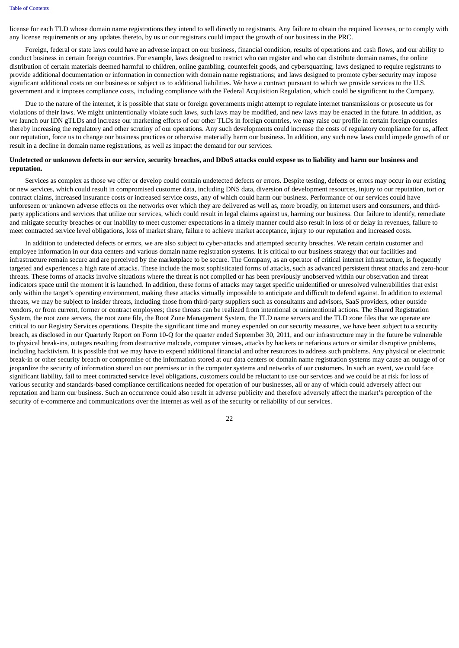license for each TLD whose domain name registrations they intend to sell directly to registrants. Any failure to obtain the required licenses, or to comply with any license requirements or any updates thereto, by us or our registrars could impact the growth of our business in the PRC.

Foreign, federal or state laws could have an adverse impact on our business, financial condition, results of operations and cash flows, and our ability to conduct business in certain foreign countries. For example, laws designed to restrict who can register and who can distribute domain names, the online distribution of certain materials deemed harmful to children, online gambling, counterfeit goods, and cybersquatting; laws designed to require registrants to provide additional documentation or information in connection with domain name registrations; and laws designed to promote cyber security may impose significant additional costs on our business or subject us to additional liabilities. We have a contract pursuant to which we provide services to the U.S. government and it imposes compliance costs, including compliance with the Federal Acquisition Regulation, which could be significant to the Company.

Due to the nature of the internet, it is possible that state or foreign governments might attempt to regulate internet transmissions or prosecute us for violations of their laws. We might unintentionally violate such laws, such laws may be modified, and new laws may be enacted in the future. In addition, as we launch our IDN gTLDs and increase our marketing efforts of our other TLDs in foreign countries, we may raise our profile in certain foreign countries thereby increasing the regulatory and other scrutiny of our operations. Any such developments could increase the costs of regulatory compliance for us, affect our reputation, force us to change our business practices or otherwise materially harm our business. In addition, any such new laws could impede growth of or result in a decline in domain name registrations, as well as impact the demand for our services.

#### Undetected or unknown defects in our service, security breaches, and DDoS attacks could expose us to liability and harm our business and **reputation.**

Services as complex as those we offer or develop could contain undetected defects or errors. Despite testing, defects or errors may occur in our existing or new services, which could result in compromised customer data, including DNS data, diversion of development resources, injury to our reputation, tort or contract claims, increased insurance costs or increased service costs, any of which could harm our business. Performance of our services could have unforeseen or unknown adverse effects on the networks over which they are delivered as well as, more broadly, on internet users and consumers, and thirdparty applications and services that utilize our services, which could result in legal claims against us, harming our business. Our failure to identify, remediate and mitigate security breaches or our inability to meet customer expectations in a timely manner could also result in loss of or delay in revenues, failure to meet contracted service level obligations, loss of market share, failure to achieve market acceptance, injury to our reputation and increased costs.

In addition to undetected defects or errors, we are also subject to cyber-attacks and attempted security breaches. We retain certain customer and employee information in our data centers and various domain name registration systems. It is critical to our business strategy that our facilities and infrastructure remain secure and are perceived by the marketplace to be secure. The Company, as an operator of critical internet infrastructure, is frequently targeted and experiences a high rate of attacks. These include the most sophisticated forms of attacks, such as advanced persistent threat attacks and zero-hour threats. These forms of attacks involve situations where the threat is not compiled or has been previously unobserved within our observation and threat indicators space until the moment it is launched. In addition, these forms of attacks may target specific unidentified or unresolved vulnerabilities that exist only within the target's operating environment, making these attacks virtually impossible to anticipate and difficult to defend against. In addition to external threats, we may be subject to insider threats, including those from third-party suppliers such as consultants and advisors, SaaS providers, other outside vendors, or from current, former or contract employees; these threats can be realized from intentional or unintentional actions. The Shared Registration System, the root zone servers, the root zone file, the Root Zone Management System, the TLD name servers and the TLD zone files that we operate are critical to our Registry Services operations. Despite the significant time and money expended on our security measures, we have been subject to a security breach, as disclosed in our Quarterly Report on Form 10-Q for the quarter ended September 30, 2011, and our infrastructure may in the future be vulnerable to physical break-ins, outages resulting from destructive malcode, computer viruses, attacks by hackers or nefarious actors or similar disruptive problems, including hacktivism. It is possible that we may have to expend additional financial and other resources to address such problems. Any physical or electronic break-in or other security breach or compromise of the information stored at our data centers or domain name registration systems may cause an outage of or jeopardize the security of information stored on our premises or in the computer systems and networks of our customers. In such an event, we could face significant liability, fail to meet contracted service level obligations, customers could be reluctant to use our services and we could be at risk for loss of various security and standards-based compliance certifications needed for operation of our businesses, all or any of which could adversely affect our reputation and harm our business. Such an occurrence could also result in adverse publicity and therefore adversely affect the market's perception of the security of e-commerce and communications over the internet as well as of the security or reliability of our services.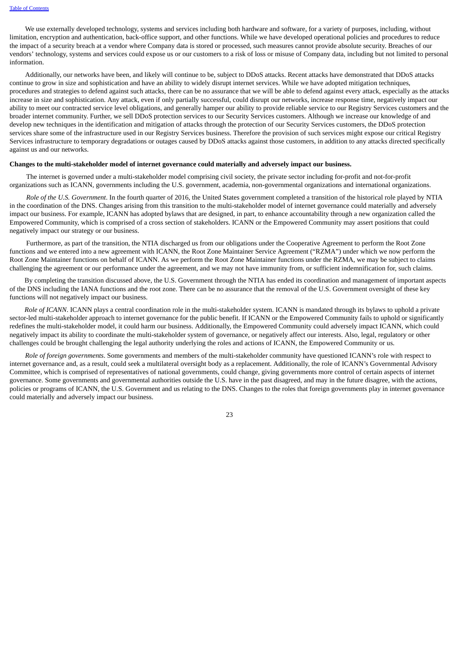We use externally developed technology, systems and services including both hardware and software, for a variety of purposes, including, without limitation, encryption and authentication, back-office support, and other functions. While we have developed operational policies and procedures to reduce the impact of a security breach at a vendor where Company data is stored or processed, such measures cannot provide absolute security. Breaches of our vendors' technology, systems and services could expose us or our customers to a risk of loss or misuse of Company data, including but not limited to personal information.

Additionally, our networks have been, and likely will continue to be, subject to DDoS attacks. Recent attacks have demonstrated that DDoS attacks continue to grow in size and sophistication and have an ability to widely disrupt internet services. While we have adopted mitigation techniques, procedures and strategies to defend against such attacks, there can be no assurance that we will be able to defend against every attack, especially as the attacks increase in size and sophistication. Any attack, even if only partially successful, could disrupt our networks, increase response time, negatively impact our ability to meet our contracted service level obligations, and generally hamper our ability to provide reliable service to our Registry Services customers and the broader internet community. Further, we sell DDoS protection services to our Security Services customers. Although we increase our knowledge of and develop new techniques in the identification and mitigation of attacks through the protection of our Security Services customers, the DDoS protection services share some of the infrastructure used in our Registry Services business. Therefore the provision of such services might expose our critical Registry Services infrastructure to temporary degradations or outages caused by DDoS attacks against those customers, in addition to any attacks directed specifically against us and our networks.

#### **Changes to the multi-stakeholder model of internet governance could materially and adversely impact our business.**

The internet is governed under a multi-stakeholder model comprising civil society, the private sector including for-profit and not-for-profit organizations such as ICANN, governments including the U.S. government, academia, non-governmental organizations and international organizations.

*Role of the U.S. Government*. In the fourth quarter of 2016, the United States government completed a transition of the historical role played by NTIA in the coordination of the DNS. Changes arising from this transition to the multi-stakeholder model of internet governance could materially and adversely impact our business. For example, ICANN has adopted bylaws that are designed, in part, to enhance accountability through a new organization called the Empowered Community, which is comprised of a cross section of stakeholders. ICANN or the Empowered Community may assert positions that could negatively impact our strategy or our business.

Furthermore, as part of the transition, the NTIA discharged us from our obligations under the Cooperative Agreement to perform the Root Zone functions and we entered into a new agreement with ICANN, the Root Zone Maintainer Service Agreement ("RZMA") under which we now perform the Root Zone Maintainer functions on behalf of ICANN. As we perform the Root Zone Maintainer functions under the RZMA, we may be subject to claims challenging the agreement or our performance under the agreement, and we may not have immunity from, or sufficient indemnification for, such claims.

By completing the transition discussed above, the U.S. Government through the NTIA has ended its coordination and management of important aspects of the DNS including the IANA functions and the root zone. There can be no assurance that the removal of the U.S. Government oversight of these key functions will not negatively impact our business.

*Role of ICANN*. ICANN plays a central coordination role in the multi-stakeholder system. ICANN is mandated through its bylaws to uphold a private sector-led multi-stakeholder approach to internet governance for the public benefit. If ICANN or the Empowered Community fails to uphold or significantly redefines the multi-stakeholder model, it could harm our business. Additionally, the Empowered Community could adversely impact ICANN, which could negatively impact its ability to coordinate the multi-stakeholder system of governance, or negatively affect our interests. Also, legal, regulatory or other challenges could be brought challenging the legal authority underlying the roles and actions of ICANN, the Empowered Community or us.

*Role of foreign governments*. Some governments and members of the multi-stakeholder community have questioned ICANN's role with respect to internet governance and, as a result, could seek a multilateral oversight body as a replacement. Additionally, the role of ICANN's Governmental Advisory Committee, which is comprised of representatives of national governments, could change, giving governments more control of certain aspects of internet governance. Some governments and governmental authorities outside the U.S. have in the past disagreed, and may in the future disagree, with the actions, policies or programs of ICANN, the U.S. Government and us relating to the DNS. Changes to the roles that foreign governments play in internet governance could materially and adversely impact our business.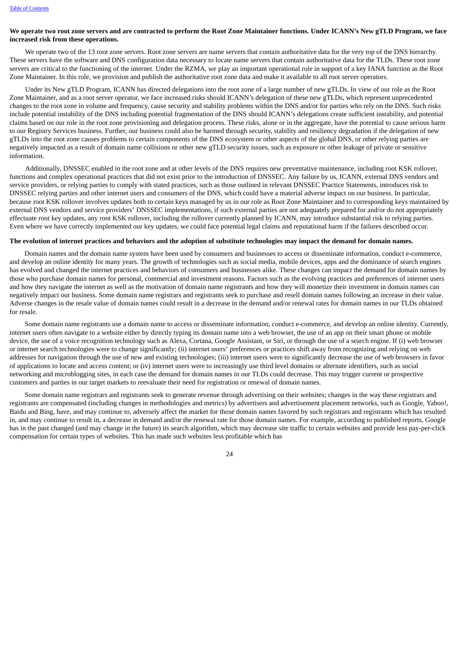#### We operate two root zone servers and are contracted to perform the Root Zone Maintainer functions. Under ICANN's New gTLD Program, we face **increased risk from these operations.**

We operate two of the 13 root zone servers. Root zone servers are name servers that contain authoritative data for the very top of the DNS hierarchy. These servers have the software and DNS configuration data necessary to locate name servers that contain authoritative data for the TLDs. These root zone servers are critical to the functioning of the internet. Under the RZMA, we play an important operational role in support of a key IANA function as the Root Zone Maintainer. In this role, we provision and publish the authoritative root zone data and make it available to all root server operators.

Under its New gTLD Program, ICANN has directed delegations into the root zone of a large number of new gTLDs. In view of our role as the Root Zone Maintainer, and as a root server operator, we face increased risks should ICANN's delegation of these new gTLDs, which represent unprecedented changes to the root zone in volume and frequency, cause security and stability problems within the DNS and/or for parties who rely on the DNS. Such risks include potential instability of the DNS including potential fragmentation of the DNS should ICANN's delegations create sufficient instability, and potential claims based on our role in the root zone provisioning and delegation process. These risks, alone or in the aggregate, have the potential to cause serious harm to our Registry Services business. Further, our business could also be harmed through security, stability and resiliency degradation if the delegation of new gTLDs into the root zone causes problems to certain components of the DNS ecosystem or other aspects of the global DNS, or other relying parties are negatively impacted as a result of domain name collisions or other new gTLD security issues, such as exposure or other leakage of private or sensitive information.

Additionally, DNSSEC enabled in the root zone and at other levels of the DNS requires new preventative maintenance, including root KSK rollover, functions and complex operational practices that did not exist prior to the introduction of DNSSEC. Any failure by us, ICANN, external DNS vendors and service providers, or relying parties to comply with stated practices, such as those outlined in relevant DNSSEC Practice Statements, introduces risk to DNSSEC relying parties and other internet users and consumers of the DNS, which could have a material adverse impact on our business. In particular, because root KSK rollover involves updates both to certain keys managed by us in our role as Root Zone Maintainer and to corresponding keys maintained by external DNS vendors and service providers' DNSSEC implementations, if such external parties are not adequately prepared for and/or do not appropriately effectuate root key updates, any root KSK rollover, including the rollover currently planned by ICANN, may introduce substantial risk to relying parties. Even where we have correctly implemented our key updates, we could face potential legal claims and reputational harm if the failures described occur.

#### The evolution of internet practices and behaviors and the adoption of substitute technologies may impact the demand for domain names.

Domain names and the domain name system have been used by consumers and businesses to access or disseminate information, conduct e-commerce, and develop an online identity for many years. The growth of technologies such as social media, mobile devices, apps and the dominance of search engines has evolved and changed the internet practices and behaviors of consumers and businesses alike. These changes can impact the demand for domain names by those who purchase domain names for personal, commercial and investment reasons. Factors such as the evolving practices and preferences of internet users and how they navigate the internet as well as the motivation of domain name registrants and how they will monetize their investment in domain names can negatively impact our business. Some domain name registrars and registrants seek to purchase and resell domain names following an increase in their value. Adverse changes in the resale value of domain names could result in a decrease in the demand and/or renewal rates for domain names in our TLDs obtained for resale.

Some domain name registrants use a domain name to access or disseminate information, conduct e-commerce, and develop an online identity. Currently, internet users often navigate to a website either by directly typing its domain name into a web browser, the use of an app on their smart phone or mobile device, the use of a voice recognition technology such as Alexa, Cortana, Google Assistant, or Siri, or through the use of a search engine. If (i) web browser or internet search technologies were to change significantly; (ii) internet users' preferences or practices shift away from recognizing and relying on web addresses for navigation through the use of new and existing technologies; (iii) internet users were to significantly decrease the use of web browsers in favor of applications to locate and access content; or (iv) internet users were to increasingly use third level domains or alternate identifiers, such as social networking and microblogging sites, in each case the demand for domain names in our TLDs could decrease. This may trigger current or prospective customers and parties in our target markets to reevaluate their need for registration or renewal of domain names.

Some domain name registrars and registrants seek to generate revenue through advertising on their websites; changes in the way these registrars and registrants are compensated (including changes in methodologies and metrics) by advertisers and advertisement placement networks, such as Google, Yahoo!, Baidu and Bing, have, and may continue to, adversely affect the market for those domain names favored by such registrars and registrants which has resulted in, and may continue to result in, a decrease in demand and/or the renewal rate for those domain names. For example, according to published reports, Google has in the past changed (and may change in the future) its search algorithm, which may decrease site traffic to certain websites and provide less pay-per-click compensation for certain types of websites. This has made such websites less profitable which has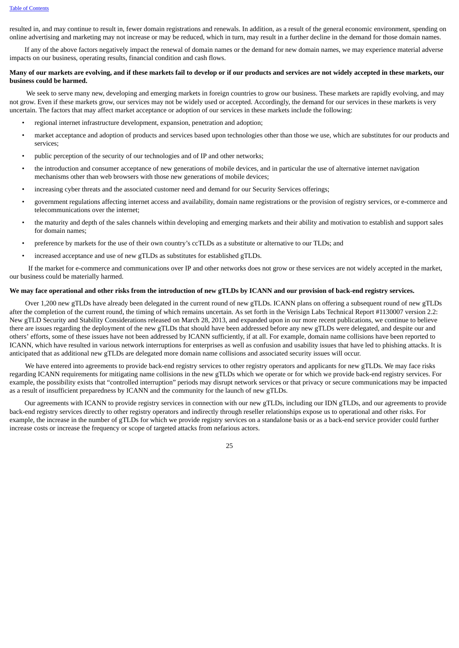resulted in, and may continue to result in, fewer domain registrations and renewals. In addition, as a result of the general economic environment, spending on online advertising and marketing may not increase or may be reduced, which in turn, may result in a further decline in the demand for those domain names.

If any of the above factors negatively impact the renewal of domain names or the demand for new domain names, we may experience material adverse impacts on our business, operating results, financial condition and cash flows.

### Many of our markets are evolving, and if these markets fail to develop or if our products and services are not widely accepted in these markets, our **business could be harmed.**

We seek to serve many new, developing and emerging markets in foreign countries to grow our business. These markets are rapidly evolving, and may not grow. Even if these markets grow, our services may not be widely used or accepted. Accordingly, the demand for our services in these markets is very uncertain. The factors that may affect market acceptance or adoption of our services in these markets include the following:

- regional internet infrastructure development, expansion, penetration and adoption;
- market acceptance and adoption of products and services based upon technologies other than those we use, which are substitutes for our products and services;
- public perception of the security of our technologies and of IP and other networks;
- the introduction and consumer acceptance of new generations of mobile devices, and in particular the use of alternative internet navigation mechanisms other than web browsers with those new generations of mobile devices;
- increasing cyber threats and the associated customer need and demand for our Security Services offerings;
- government regulations affecting internet access and availability, domain name registrations or the provision of registry services, or e-commerce and telecommunications over the internet;
- the maturity and depth of the sales channels within developing and emerging markets and their ability and motivation to establish and support sales for domain names;
- preference by markets for the use of their own country's ccTLDs as a substitute or alternative to our TLDs; and
- increased acceptance and use of new gTLDs as substitutes for established gTLDs.

If the market for e-commerce and communications over IP and other networks does not grow or these services are not widely accepted in the market, our business could be materially harmed.

#### We may face operational and other risks from the introduction of new gTLDs by ICANN and our provision of back-end registry services.

Over 1,200 new gTLDs have already been delegated in the current round of new gTLDs. ICANN plans on offering a subsequent round of new gTLDs after the completion of the current round, the timing of which remains uncertain. As set forth in the Verisign Labs Technical Report #1130007 version 2.2: New gTLD Security and Stability Considerations released on March 28, 2013, and expanded upon in our more recent publications, we continue to believe there are issues regarding the deployment of the new gTLDs that should have been addressed before any new gTLDs were delegated, and despite our and others' efforts, some of these issues have not been addressed by ICANN sufficiently, if at all. For example, domain name collisions have been reported to ICANN, which have resulted in various network interruptions for enterprises as well as confusion and usability issues that have led to phishing attacks. It is anticipated that as additional new gTLDs are delegated more domain name collisions and associated security issues will occur.

We have entered into agreements to provide back-end registry services to other registry operators and applicants for new gTLDs. We may face risks regarding ICANN requirements for mitigating name collisions in the new gTLDs which we operate or for which we provide back-end registry services. For example, the possibility exists that "controlled interruption" periods may disrupt network services or that privacy or secure communications may be impacted as a result of insufficient preparedness by ICANN and the community for the launch of new gTLDs.

Our agreements with ICANN to provide registry services in connection with our new gTLDs, including our IDN gTLDs, and our agreements to provide back-end registry services directly to other registry operators and indirectly through reseller relationships expose us to operational and other risks. For example, the increase in the number of gTLDs for which we provide registry services on a standalone basis or as a back-end service provider could further increase costs or increase the frequency or scope of targeted attacks from nefarious actors.

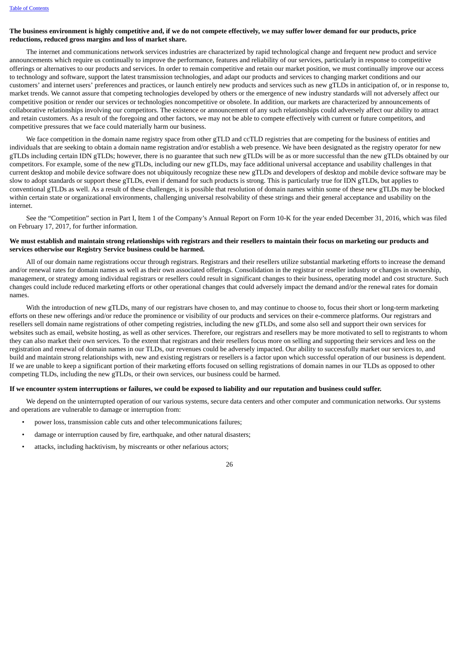## The business environment is highly competitive and, if we do not compete effectively, we may suffer lower demand for our products, price **reductions, reduced gross margins and loss of market share.**

The internet and communications network services industries are characterized by rapid technological change and frequent new product and service announcements which require us continually to improve the performance, features and reliability of our services, particularly in response to competitive offerings or alternatives to our products and services. In order to remain competitive and retain our market position, we must continually improve our access to technology and software, support the latest transmission technologies, and adapt our products and services to changing market conditions and our customers' and internet users' preferences and practices, or launch entirely new products and services such as new gTLDs in anticipation of, or in response to, market trends. We cannot assure that competing technologies developed by others or the emergence of new industry standards will not adversely affect our competitive position or render our services or technologies noncompetitive or obsolete. In addition, our markets are characterized by announcements of collaborative relationships involving our competitors. The existence or announcement of any such relationships could adversely affect our ability to attract and retain customers. As a result of the foregoing and other factors, we may not be able to compete effectively with current or future competitors, and competitive pressures that we face could materially harm our business.

We face competition in the domain name registry space from other gTLD and ccTLD registries that are competing for the business of entities and individuals that are seeking to obtain a domain name registration and/or establish a web presence. We have been designated as the registry operator for new gTLDs including certain IDN gTLDs; however, there is no guarantee that such new gTLDs will be as or more successful than the new gTLDs obtained by our competitors. For example, some of the new gTLDs, including our new gTLDs, may face additional universal acceptance and usability challenges in that current desktop and mobile device software does not ubiquitously recognize these new gTLDs and developers of desktop and mobile device software may be slow to adopt standards or support these gTLDs, even if demand for such products is strong. This is particularly true for IDN gTLDs, but applies to conventional gTLDs as well. As a result of these challenges, it is possible that resolution of domain names within some of these new gTLDs may be blocked within certain state or organizational environments, challenging universal resolvability of these strings and their general acceptance and usability on the internet.

See the "Competition" section in Part I, Item 1 of the Company's Annual Report on Form 10-K for the year ended December 31, 2016, which was filed on February 17, 2017, for further information.

## We must establish and maintain strong relationships with registrars and their resellers to maintain their focus on marketing our products and **services otherwise our Registry Service business could be harmed.**

All of our domain name registrations occur through registrars. Registrars and their resellers utilize substantial marketing efforts to increase the demand and/or renewal rates for domain names as well as their own associated offerings. Consolidation in the registrar or reseller industry or changes in ownership, management, or strategy among individual registrars or resellers could result in significant changes to their business, operating model and cost structure. Such changes could include reduced marketing efforts or other operational changes that could adversely impact the demand and/or the renewal rates for domain names.

With the introduction of new gTLDs, many of our registrars have chosen to, and may continue to choose to, focus their short or long-term marketing efforts on these new offerings and/or reduce the prominence or visibility of our products and services on their e-commerce platforms. Our registrars and resellers sell domain name registrations of other competing registries, including the new gTLDs, and some also sell and support their own services for websites such as email, website hosting, as well as other services. Therefore, our registrars and resellers may be more motivated to sell to registrants to whom they can also market their own services. To the extent that registrars and their resellers focus more on selling and supporting their services and less on the registration and renewal of domain names in our TLDs, our revenues could be adversely impacted. Our ability to successfully market our services to, and build and maintain strong relationships with, new and existing registrars or resellers is a factor upon which successful operation of our business is dependent. If we are unable to keep a significant portion of their marketing efforts focused on selling registrations of domain names in our TLDs as opposed to other competing TLDs, including the new gTLDs, or their own services, our business could be harmed.

#### If we encounter system interruptions or failures, we could be exposed to liability and our reputation and business could suffer.

We depend on the uninterrupted operation of our various systems, secure data centers and other computer and communication networks. Our systems and operations are vulnerable to damage or interruption from:

- power loss, transmission cable cuts and other telecommunications failures;
- damage or interruption caused by fire, earthquake, and other natural disasters;
- attacks, including hacktivism, by miscreants or other nefarious actors;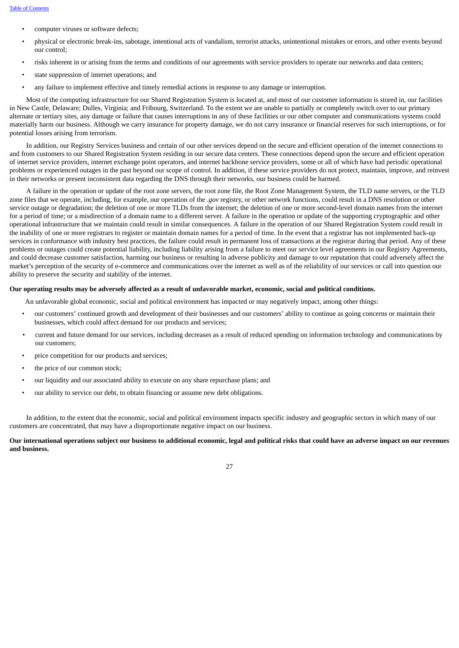- computer viruses or software defects;
- physical or electronic break-ins, sabotage, intentional acts of vandalism, terrorist attacks, unintentional mistakes or errors, and other events beyond our control;
- risks inherent in or arising from the terms and conditions of our agreements with service providers to operate our networks and data centers;
- state suppression of internet operations; and
- any failure to implement effective and timely remedial actions in response to any damage or interruption.

Most of the computing infrastructure for our Shared Registration System is located at, and most of our customer information is stored in, our facilities in New Castle, Delaware; Dulles, Virginia; and Fribourg, Switzerland. To the extent we are unable to partially or completely switch over to our primary alternate or tertiary sites, any damage or failure that causes interruptions in any of these facilities or our other computer and communications systems could materially harm our business. Although we carry insurance for property damage, we do not carry insurance or financial reserves for such interruptions, or for potential losses arising from terrorism.

In addition, our Registry Services business and certain of our other services depend on the secure and efficient operation of the internet connections to and from customers to our Shared Registration System residing in our secure data centers. These connections depend upon the secure and efficient operation of internet service providers, internet exchange point operators, and internet backbone service providers, some or all of which have had periodic operational problems or experienced outages in the past beyond our scope of control. In addition, if these service providers do not protect, maintain, improve, and reinvest in their networks or present inconsistent data regarding the DNS through their networks, our business could be harmed.

A failure in the operation or update of the root zone servers, the root zone file, the Root Zone Management System, the TLD name servers, or the TLD zone files that we operate, including, for example, our operation of the *.gov* registry, or other network functions, could result in a DNS resolution or other service outage or degradation; the deletion of one or more TLDs from the internet; the deletion of one or more second-level domain names from the internet for a period of time; or a misdirection of a domain name to a different server. A failure in the operation or update of the supporting cryptographic and other operational infrastructure that we maintain could result in similar consequences. A failure in the operation of our Shared Registration System could result in the inability of one or more registrars to register or maintain domain names for a period of time. In the event that a registrar has not implemented back-up services in conformance with industry best practices, the failure could result in permanent loss of transactions at the registrar during that period. Any of these problems or outages could create potential liability, including liability arising from a failure to meet our service level agreements in our Registry Agreements, and could decrease customer satisfaction, harming our business or resulting in adverse publicity and damage to our reputation that could adversely affect the market's perception of the security of e-commerce and communications over the internet as well as of the reliability of our services or call into question our ability to preserve the security and stability of the internet.

#### Our operating results may be adversely affected as a result of unfavorable market, economic, social and political conditions.

An unfavorable global economic, social and political environment has impacted or may negatively impact, among other things:

- our customers' continued growth and development of their businesses and our customers' ability to continue as going concerns or maintain their businesses, which could affect demand for our products and services;
- current and future demand for our services, including decreases as a result of reduced spending on information technology and communications by our customers;
- price competition for our products and services;
- the price of our common stock;
- our liquidity and our associated ability to execute on any share repurchase plans; and
- our ability to service our debt, to obtain financing or assume new debt obligations.

In addition, to the extent that the economic, social and political environment impacts specific industry and geographic sectors in which many of our customers are concentrated, that may have a disproportionate negative impact on our business.

## Our international operations subject our business to additional economic, legal and political risks that could have an adverse impact on our revenues **and business.**

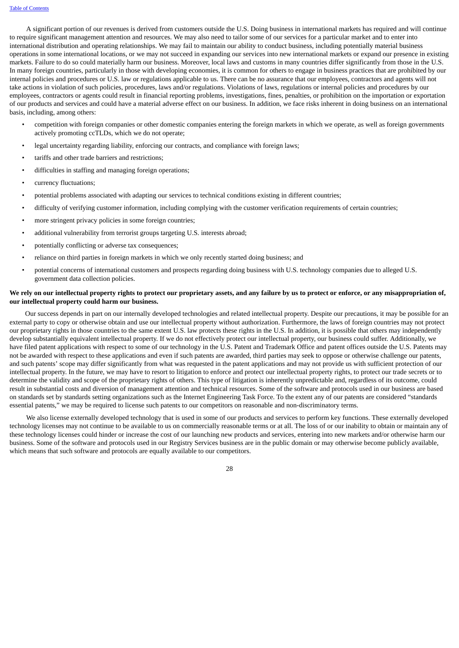A significant portion of our revenues is derived from customers outside the U.S. Doing business in international markets has required and will continue to require significant management attention and resources. We may also need to tailor some of our services for a particular market and to enter into international distribution and operating relationships. We may fail to maintain our ability to conduct business, including potentially material business operations in some international locations, or we may not succeed in expanding our services into new international markets or expand our presence in existing markets. Failure to do so could materially harm our business. Moreover, local laws and customs in many countries differ significantly from those in the U.S. In many foreign countries, particularly in those with developing economies, it is common for others to engage in business practices that are prohibited by our internal policies and procedures or U.S. law or regulations applicable to us. There can be no assurance that our employees, contractors and agents will not take actions in violation of such policies, procedures, laws and/or regulations. Violations of laws, regulations or internal policies and procedures by our employees, contractors or agents could result in financial reporting problems, investigations, fines, penalties, or prohibition on the importation or exportation of our products and services and could have a material adverse effect on our business. In addition, we face risks inherent in doing business on an international basis, including, among others:

- competition with foreign companies or other domestic companies entering the foreign markets in which we operate, as well as foreign governments actively promoting ccTLDs, which we do not operate;
- legal uncertainty regarding liability, enforcing our contracts, and compliance with foreign laws;
- tariffs and other trade barriers and restrictions;
- difficulties in staffing and managing foreign operations;
- currency fluctuations;
- potential problems associated with adapting our services to technical conditions existing in different countries;
- difficulty of verifying customer information, including complying with the customer verification requirements of certain countries;
- more stringent privacy policies in some foreign countries;
- additional vulnerability from terrorist groups targeting U.S. interests abroad;
- potentially conflicting or adverse tax consequences;
- reliance on third parties in foreign markets in which we only recently started doing business; and
- potential concerns of international customers and prospects regarding doing business with U.S. technology companies due to alleged U.S. government data collection policies.

#### We rely on our intellectual property rights to protect our proprietary assets, and any failure by us to protect or enforce, or any misappropriation of, **our intellectual property could harm our business.**

Our success depends in part on our internally developed technologies and related intellectual property. Despite our precautions, it may be possible for an external party to copy or otherwise obtain and use our intellectual property without authorization. Furthermore, the laws of foreign countries may not protect our proprietary rights in those countries to the same extent U.S. law protects these rights in the U.S. In addition, it is possible that others may independently develop substantially equivalent intellectual property. If we do not effectively protect our intellectual property, our business could suffer. Additionally, we have filed patent applications with respect to some of our technology in the U.S. Patent and Trademark Office and patent offices outside the U.S. Patents may not be awarded with respect to these applications and even if such patents are awarded, third parties may seek to oppose or otherwise challenge our patents, and such patents' scope may differ significantly from what was requested in the patent applications and may not provide us with sufficient protection of our intellectual property. In the future, we may have to resort to litigation to enforce and protect our intellectual property rights, to protect our trade secrets or to determine the validity and scope of the proprietary rights of others. This type of litigation is inherently unpredictable and, regardless of its outcome, could result in substantial costs and diversion of management attention and technical resources. Some of the software and protocols used in our business are based on standards set by standards setting organizations such as the Internet Engineering Task Force. To the extent any of our patents are considered "standards essential patents," we may be required to license such patents to our competitors on reasonable and non-discriminatory terms.

We also license externally developed technology that is used in some of our products and services to perform key functions. These externally developed technology licenses may not continue to be available to us on commercially reasonable terms or at all. The loss of or our inability to obtain or maintain any of these technology licenses could hinder or increase the cost of our launching new products and services, entering into new markets and/or otherwise harm our business. Some of the software and protocols used in our Registry Services business are in the public domain or may otherwise become publicly available, which means that such software and protocols are equally available to our competitors.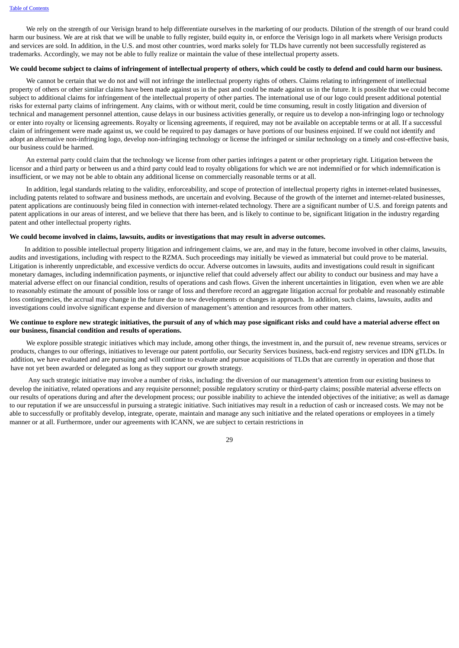We rely on the strength of our Verisign brand to help differentiate ourselves in the marketing of our products. Dilution of the strength of our brand could harm our business. We are at risk that we will be unable to fully register, build equity in, or enforce the Verisign logo in all markets where Verisign products and services are sold. In addition, in the U.S. and most other countries, word marks solely for TLDs have currently not been successfully registered as trademarks. Accordingly, we may not be able to fully realize or maintain the value of these intellectual property assets.

#### We could become subject to claims of infringement of intellectual property of others, which could be costly to defend and could harm our business.

We cannot be certain that we do not and will not infringe the intellectual property rights of others. Claims relating to infringement of intellectual property of others or other similar claims have been made against us in the past and could be made against us in the future. It is possible that we could become subject to additional claims for infringement of the intellectual property of other parties. The international use of our logo could present additional potential risks for external party claims of infringement. Any claims, with or without merit, could be time consuming, result in costly litigation and diversion of technical and management personnel attention, cause delays in our business activities generally, or require us to develop a non-infringing logo or technology or enter into royalty or licensing agreements. Royalty or licensing agreements, if required, may not be available on acceptable terms or at all. If a successful claim of infringement were made against us, we could be required to pay damages or have portions of our business enjoined. If we could not identify and adopt an alternative non-infringing logo, develop non-infringing technology or license the infringed or similar technology on a timely and cost-effective basis, our business could be harmed.

An external party could claim that the technology we license from other parties infringes a patent or other proprietary right. Litigation between the licensor and a third party or between us and a third party could lead to royalty obligations for which we are not indemnified or for which indemnification is insufficient, or we may not be able to obtain any additional license on commercially reasonable terms or at all.

In addition, legal standards relating to the validity, enforceability, and scope of protection of intellectual property rights in internet-related businesses, including patents related to software and business methods, are uncertain and evolving. Because of the growth of the internet and internet-related businesses, patent applications are continuously being filed in connection with internet-related technology. There are a significant number of U.S. and foreign patents and patent applications in our areas of interest, and we believe that there has been, and is likely to continue to be, significant litigation in the industry regarding patent and other intellectual property rights.

#### **We could become involved in claims, lawsuits, audits or investigations that may result in adverse outcomes.**

In addition to possible intellectual property litigation and infringement claims, we are, and may in the future, become involved in other claims, lawsuits, audits and investigations, including with respect to the RZMA. Such proceedings may initially be viewed as immaterial but could prove to be material. Litigation is inherently unpredictable, and excessive verdicts do occur. Adverse outcomes in lawsuits, audits and investigations could result in significant monetary damages, including indemnification payments, or injunctive relief that could adversely affect our ability to conduct our business and may have a material adverse effect on our financial condition, results of operations and cash flows. Given the inherent uncertainties in litigation, even when we are able to reasonably estimate the amount of possible loss or range of loss and therefore record an aggregate litigation accrual for probable and reasonably estimable loss contingencies, the accrual may change in the future due to new developments or changes in approach. In addition, such claims, lawsuits, audits and investigations could involve significant expense and diversion of management's attention and resources from other matters.

### We continue to explore new strategic initiatives, the pursuit of any of which may pose significant risks and could have a material adverse effect on **our business, financial condition and results of operations.**

We explore possible strategic initiatives which may include, among other things, the investment in, and the pursuit of, new revenue streams, services or products, changes to our offerings, initiatives to leverage our patent portfolio, our Security Services business, back-end registry services and IDN gTLDs. In addition, we have evaluated and are pursuing and will continue to evaluate and pursue acquisitions of TLDs that are currently in operation and those that have not yet been awarded or delegated as long as they support our growth strategy.

Any such strategic initiative may involve a number of risks, including: the diversion of our management's attention from our existing business to develop the initiative, related operations and any requisite personnel; possible regulatory scrutiny or third-party claims; possible material adverse effects on our results of operations during and after the development process; our possible inability to achieve the intended objectives of the initiative; as well as damage to our reputation if we are unsuccessful in pursuing a strategic initiative. Such initiatives may result in a reduction of cash or increased costs. We may not be able to successfully or profitably develop, integrate, operate, maintain and manage any such initiative and the related operations or employees in a timely manner or at all. Furthermore, under our agreements with ICANN, we are subject to certain restrictions in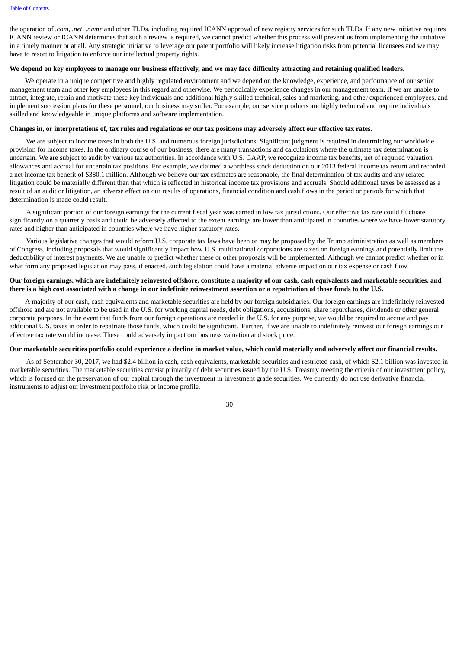the operation of *.com*, *.net, .name* and other TLDs, including required ICANN approval of new registry services for such TLDs. If any new initiative requires ICANN review or ICANN determines that such a review is required, we cannot predict whether this process will prevent us from implementing the initiative in a timely manner or at all. Any strategic initiative to leverage our patent portfolio will likely increase litigation risks from potential licensees and we may have to resort to litigation to enforce our intellectual property rights.

#### We depend on key employees to manage our business effectively, and we may face difficulty attracting and retaining qualified leaders.

We operate in a unique competitive and highly regulated environment and we depend on the knowledge, experience, and performance of our senior management team and other key employees in this regard and otherwise. We periodically experience changes in our management team. If we are unable to attract, integrate, retain and motivate these key individuals and additional highly skilled technical, sales and marketing, and other experienced employees, and implement succession plans for these personnel, our business may suffer. For example, our service products are highly technical and require individuals skilled and knowledgeable in unique platforms and software implementation.

#### Changes in, or interpretations of, tax rules and regulations or our tax positions may adversely affect our effective tax rates.

We are subject to income taxes in both the U.S. and numerous foreign jurisdictions. Significant judgment is required in determining our worldwide provision for income taxes. In the ordinary course of our business, there are many transactions and calculations where the ultimate tax determination is uncertain. We are subject to audit by various tax authorities. In accordance with U.S. GAAP, we recognize income tax benefits, net of required valuation allowances and accrual for uncertain tax positions. For example, we claimed a worthless stock deduction on our 2013 federal income tax return and recorded a net income tax benefit of \$380.1 million. Although we believe our tax estimates are reasonable, the final determination of tax audits and any related litigation could be materially different than that which is reflected in historical income tax provisions and accruals. Should additional taxes be assessed as a result of an audit or litigation, an adverse effect on our results of operations, financial condition and cash flows in the period or periods for which that determination is made could result.

A significant portion of our foreign earnings for the current fiscal year was earned in low tax jurisdictions. Our effective tax rate could fluctuate significantly on a quarterly basis and could be adversely affected to the extent earnings are lower than anticipated in countries where we have lower statutory rates and higher than anticipated in countries where we have higher statutory rates.

Various legislative changes that would reform U.S. corporate tax laws have been or may be proposed by the Trump administration as well as members of Congress, including proposals that would significantly impact how U.S. multinational corporations are taxed on foreign earnings and potentially limit the deductibility of interest payments. We are unable to predict whether these or other proposals will be implemented. Although we cannot predict whether or in what form any proposed legislation may pass, if enacted, such legislation could have a material adverse impact on our tax expense or cash flow.

#### Our foreign earnings, which are indefinitely reinvested offshore, constitute a majority of our cash, cash equivalents and marketable securities, and there is a high cost associated with a change in our indefinite reinvestment assertion or a repatriation of those funds to the U.S.

A majority of our cash, cash equivalents and marketable securities are held by our foreign subsidiaries. Our foreign earnings are indefinitely reinvested offshore and are not available to be used in the U.S. for working capital needs, debt obligations, acquisitions, share repurchases, dividends or other general corporate purposes. In the event that funds from our foreign operations are needed in the U.S. for any purpose, we would be required to accrue and pay additional U.S. taxes in order to repatriate those funds, which could be significant. Further, if we are unable to indefinitely reinvest our foreign earnings our effective tax rate would increase. These could adversely impact our business valuation and stock price.

#### Our marketable securities portfolio could experience a decline in market value, which could materially and adversely affect our financial results.

As of September 30, 2017, we had \$2.4 billion in cash, cash equivalents, marketable securities and restricted cash, of which \$2.1 billion was invested in marketable securities. The marketable securities consist primarily of debt securities issued by the U.S. Treasury meeting the criteria of our investment policy, which is focused on the preservation of our capital through the investment in investment grade securities. We currently do not use derivative financial instruments to adjust our investment portfolio risk or income profile.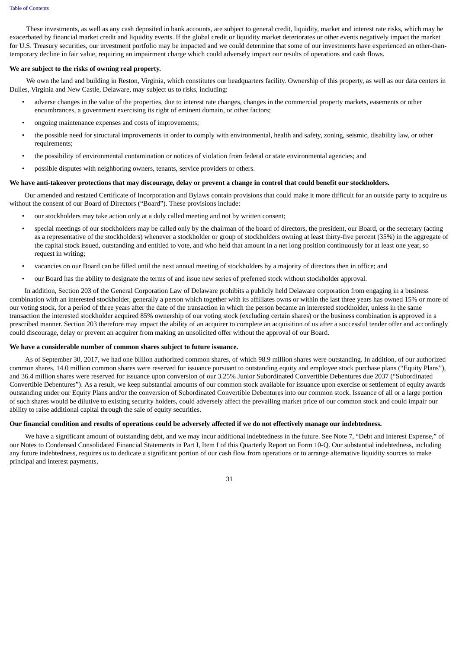These investments, as well as any cash deposited in bank accounts, are subject to general credit, liquidity, market and interest rate risks, which may be exacerbated by financial market credit and liquidity events. If the global credit or liquidity market deteriorates or other events negatively impact the market for U.S. Treasury securities, our investment portfolio may be impacted and we could determine that some of our investments have experienced an other-thantemporary decline in fair value, requiring an impairment charge which could adversely impact our results of operations and cash flows.

#### **We are subject to the risks of owning real property.**

We own the land and building in Reston, Virginia, which constitutes our headquarters facility. Ownership of this property, as well as our data centers in Dulles, Virginia and New Castle, Delaware, may subject us to risks, including:

- adverse changes in the value of the properties, due to interest rate changes, changes in the commercial property markets, easements or other encumbrances, a government exercising its right of eminent domain, or other factors;
- ongoing maintenance expenses and costs of improvements;
- the possible need for structural improvements in order to comply with environmental, health and safety, zoning, seismic, disability law, or other requirements;
- the possibility of environmental contamination or notices of violation from federal or state environmental agencies; and
- possible disputes with neighboring owners, tenants, service providers or others.

## We have anti-takeover protections that may discourage, delay or prevent a change in control that could benefit our stockholders.

Our amended and restated Certificate of Incorporation and Bylaws contain provisions that could make it more difficult for an outside party to acquire us without the consent of our Board of Directors ("Board"). These provisions include:

- our stockholders may take action only at a duly called meeting and not by written consent;
- special meetings of our stockholders may be called only by the chairman of the board of directors, the president, our Board, or the secretary (acting as a representative of the stockholders) whenever a stockholder or group of stockholders owning at least thirty-five percent (35%) in the aggregate of the capital stock issued, outstanding and entitled to vote, and who held that amount in a net long position continuously for at least one year, so request in writing:
- vacancies on our Board can be filled until the next annual meeting of stockholders by a majority of directors then in office; and
- our Board has the ability to designate the terms of and issue new series of preferred stock without stockholder approval.

In addition, Section 203 of the General Corporation Law of Delaware prohibits a publicly held Delaware corporation from engaging in a business combination with an interested stockholder, generally a person which together with its affiliates owns or within the last three years has owned 15% or more of our voting stock, for a period of three years after the date of the transaction in which the person became an interested stockholder, unless in the same transaction the interested stockholder acquired 85% ownership of our voting stock (excluding certain shares) or the business combination is approved in a prescribed manner. Section 203 therefore may impact the ability of an acquirer to complete an acquisition of us after a successful tender offer and accordingly could discourage, delay or prevent an acquirer from making an unsolicited offer without the approval of our Board.

#### **We have a considerable number of common shares subject to future issuance.**

As of September 30, 2017, we had one billion authorized common shares, of which 98.9 million shares were outstanding. In addition, of our authorized common shares, 14.0 million common shares were reserved for issuance pursuant to outstanding equity and employee stock purchase plans ("Equity Plans"), and 36.4 million shares were reserved for issuance upon conversion of our 3.25% Junior Subordinated Convertible Debentures due 2037 ("Subordinated Convertible Debentures"). As a result, we keep substantial amounts of our common stock available for issuance upon exercise or settlement of equity awards outstanding under our Equity Plans and/or the conversion of Subordinated Convertible Debentures into our common stock. Issuance of all or a large portion of such shares would be dilutive to existing security holders, could adversely affect the prevailing market price of our common stock and could impair our ability to raise additional capital through the sale of equity securities.

## Our financial condition and results of operations could be adversely affected if we do not effectively manage our indebtedness.

We have a significant amount of outstanding debt, and we may incur additional indebtedness in the future. See Note 7, "Debt and Interest Expense," of our Notes to Condensed Consolidated Financial Statements in Part I, Item I of this Quarterly Report on Form 10-Q. Our substantial indebtedness, including any future indebtedness, requires us to dedicate a significant portion of our cash flow from operations or to arrange alternative liquidity sources to make principal and interest payments,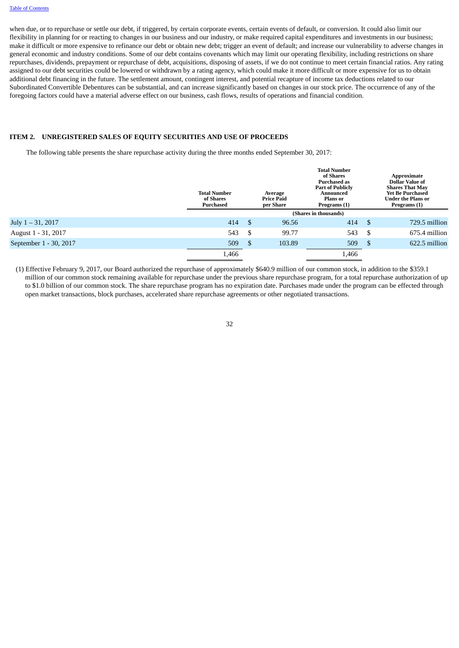when due, or to repurchase or settle our debt, if triggered, by certain corporate events, certain events of default, or conversion. It could also limit our flexibility in planning for or reacting to changes in our business and our industry, or make required capital expenditures and investments in our business; make it difficult or more expensive to refinance our debt or obtain new debt; trigger an event of default; and increase our vulnerability to adverse changes in general economic and industry conditions. Some of our debt contains covenants which may limit our operating flexibility, including restrictions on share repurchases, dividends, prepayment or repurchase of debt, acquisitions, disposing of assets, if we do not continue to meet certain financial ratios. Any rating assigned to our debt securities could be lowered or withdrawn by a rating agency, which could make it more difficult or more expensive for us to obtain additional debt financing in the future. The settlement amount, contingent interest, and potential recapture of income tax deductions related to our Subordinated Convertible Debentures can be substantial, and can increase significantly based on changes in our stock price. The occurrence of any of the foregoing factors could have a material adverse effect on our business, cash flows, results of operations and financial condition.

#### <span id="page-31-0"></span>**ITEM 2. UNREGISTERED SALES OF EQUITY SECURITIES AND USE OF PROCEEDS**

The following table presents the share repurchase activity during the three months ended September 30, 2017:

|                        | <b>Total Number</b><br>of Shares<br>Purchased | Average<br><b>Price Paid</b><br>per Share |        | <b>Total Number</b><br>of Shares<br><b>Purchased as</b><br><b>Part of Publicly</b><br>Announced<br><b>Plans</b> or<br>Programs (1) |      | Approximate<br><b>Dollar Value of</b><br><b>Shares That May</b><br><b>Yet Be Purchased</b><br><b>Under the Plans or</b><br>Programs (1) |  |
|------------------------|-----------------------------------------------|-------------------------------------------|--------|------------------------------------------------------------------------------------------------------------------------------------|------|-----------------------------------------------------------------------------------------------------------------------------------------|--|
|                        |                                               | (Shares in thousands)                     |        |                                                                                                                                    |      |                                                                                                                                         |  |
| July $1 - 31$ , 2017   | 414                                           | - \$                                      | 96.56  | 414                                                                                                                                | - \$ | 729.5 million                                                                                                                           |  |
| August 1 - 31, 2017    | 543                                           | -S                                        | 99.77  | 543                                                                                                                                | - \$ | 675.4 million                                                                                                                           |  |
| September 1 - 30, 2017 | 509                                           | - \$                                      | 103.89 | 509                                                                                                                                | -\$  | 622.5 million                                                                                                                           |  |
|                        | 1,466                                         |                                           |        | 1,466                                                                                                                              |      |                                                                                                                                         |  |

(1) Effective February 9, 2017, our Board authorized the repurchase of approximately \$640.9 million of our common stock, in addition to the \$359.1 million of our common stock remaining available for repurchase under the previous share repurchase program, for a total repurchase authorization of up to \$1.0 billion of our common stock. The share repurchase program has no expiration date. Purchases made under the program can be effected through open market transactions, block purchases, accelerated share repurchase agreements or other negotiated transactions.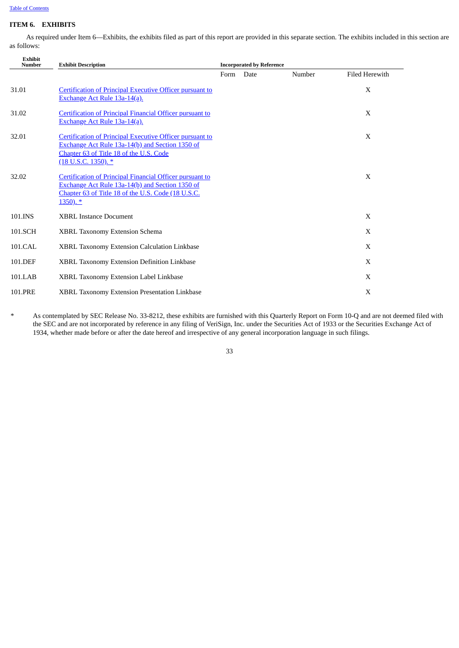# <span id="page-32-0"></span>**ITEM 6. EXHIBITS**

As required under Item 6—Exhibits, the exhibits filed as part of this report are provided in this separate section. The exhibits included in this section are as follows:

| <b>Exhibit</b><br><b>Number</b> | <b>Exhibit Description</b>                                                                                                                                                             | <b>Incorporated by Reference</b> |      |        |                       |  |  |
|---------------------------------|----------------------------------------------------------------------------------------------------------------------------------------------------------------------------------------|----------------------------------|------|--------|-----------------------|--|--|
|                                 |                                                                                                                                                                                        | Form                             | Date | Number | <b>Filed Herewith</b> |  |  |
| 31.01                           | Certification of Principal Executive Officer pursuant to<br>Exchange Act Rule 13a-14(a).                                                                                               |                                  |      |        | X                     |  |  |
| 31.02                           | Certification of Principal Financial Officer pursuant to<br>Exchange Act Rule 13a-14(a).                                                                                               |                                  |      |        | X                     |  |  |
| 32.01                           | <b>Certification of Principal Executive Officer pursuant to</b><br>Exchange Act Rule 13a-14(b) and Section 1350 of<br>Chapter 63 of Title 18 of the U.S. Code<br>$(18$ U.S.C. 1350). * |                                  |      |        | $\mathbf X$           |  |  |
| 32.02                           | Certification of Principal Financial Officer pursuant to<br>Exchange Act Rule 13a-14(b) and Section 1350 of<br>Chapter 63 of Title 18 of the U.S. Code (18 U.S.C.<br>$1350.$ *         |                                  |      |        | $\mathbf X$           |  |  |
| 101.INS                         | <b>XBRL Instance Document</b>                                                                                                                                                          |                                  |      |        | X                     |  |  |
| 101.SCH                         | <b>XBRL Taxonomy Extension Schema</b>                                                                                                                                                  |                                  |      |        | X                     |  |  |
| 101.CAL                         | XBRL Taxonomy Extension Calculation Linkbase                                                                                                                                           |                                  |      |        | X                     |  |  |
| 101.DEF                         | XBRL Taxonomy Extension Definition Linkbase                                                                                                                                            |                                  |      |        | X                     |  |  |
| 101.LAB                         | XBRL Taxonomy Extension Label Linkbase                                                                                                                                                 |                                  |      |        | X                     |  |  |
| 101.PRE                         | <b>XBRL Taxonomy Extension Presentation Linkbase</b>                                                                                                                                   |                                  |      |        | X                     |  |  |

\* As contemplated by SEC Release No. 33-8212, these exhibits are furnished with this Quarterly Report on Form 10-Q and are not deemed filed with the SEC and are not incorporated by reference in any filing of VeriSign, Inc. under the Securities Act of 1933 or the Securities Exchange Act of 1934, whether made before or after the date hereof and irrespective of any general incorporation language in such filings.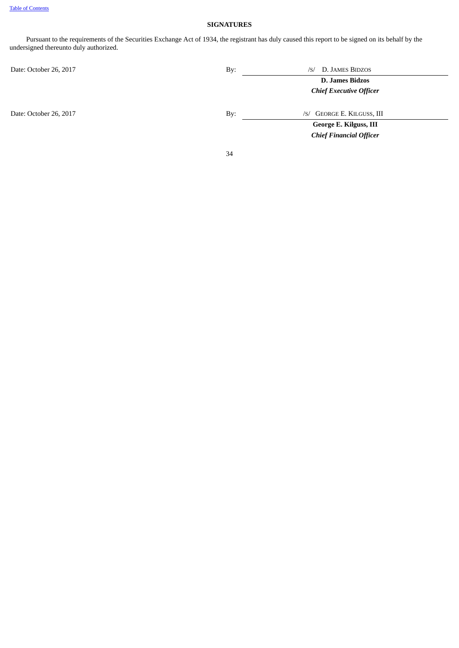# **SIGNATURES**

<span id="page-33-0"></span>Pursuant to the requirements of the Securities Exchange Act of 1934, the registrant has duly caused this report to be signed on its behalf by the undersigned thereunto duly authorized.

Date: October 26, 2017 **By:** By: */S/ D. JAMES BIDZOS* **D. James Bidzos** *Chief Executive Officer* Date: October 26, 2017 **By:** *By: /S/ GEORGE E. KILGUSS, III* **George E. Kilguss, III** *Chief Financial Officer*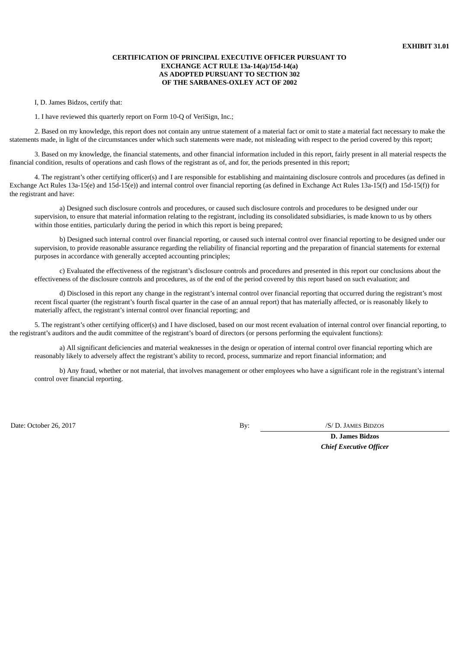## **CERTIFICATION OF PRINCIPAL EXECUTIVE OFFICER PURSUANT TO EXCHANGE ACT RULE 13a-14(a)/15d-14(a) AS ADOPTED PURSUANT TO SECTION 302 OF THE SARBANES-OXLEY ACT OF 2002**

<span id="page-34-0"></span>I, D. James Bidzos, certify that:

1. I have reviewed this quarterly report on Form 10-Q of VeriSign, Inc.;

2. Based on my knowledge, this report does not contain any untrue statement of a material fact or omit to state a material fact necessary to make the statements made, in light of the circumstances under which such statements were made, not misleading with respect to the period covered by this report;

3. Based on my knowledge, the financial statements, and other financial information included in this report, fairly present in all material respects the financial condition, results of operations and cash flows of the registrant as of, and for, the periods presented in this report;

4. The registrant's other certifying officer(s) and I are responsible for establishing and maintaining disclosure controls and procedures (as defined in Exchange Act Rules 13a-15(e) and 15d-15(e)) and internal control over financial reporting (as defined in Exchange Act Rules 13a-15(f) and 15d-15(f)) for the registrant and have:

a) Designed such disclosure controls and procedures, or caused such disclosure controls and procedures to be designed under our supervision, to ensure that material information relating to the registrant, including its consolidated subsidiaries, is made known to us by others within those entities, particularly during the period in which this report is being prepared;

b) Designed such internal control over financial reporting, or caused such internal control over financial reporting to be designed under our supervision, to provide reasonable assurance regarding the reliability of financial reporting and the preparation of financial statements for external purposes in accordance with generally accepted accounting principles;

c) Evaluated the effectiveness of the registrant's disclosure controls and procedures and presented in this report our conclusions about the effectiveness of the disclosure controls and procedures, as of the end of the period covered by this report based on such evaluation; and

d) Disclosed in this report any change in the registrant's internal control over financial reporting that occurred during the registrant's most recent fiscal quarter (the registrant's fourth fiscal quarter in the case of an annual report) that has materially affected, or is reasonably likely to materially affect, the registrant's internal control over financial reporting; and

5. The registrant's other certifying officer(s) and I have disclosed, based on our most recent evaluation of internal control over financial reporting, to the registrant's auditors and the audit committee of the registrant's board of directors (or persons performing the equivalent functions):

a) All significant deficiencies and material weaknesses in the design or operation of internal control over financial reporting which are reasonably likely to adversely affect the registrant's ability to record, process, summarize and report financial information; and

b) Any fraud, whether or not material, that involves management or other employees who have a significant role in the registrant's internal control over financial reporting.

Date: October 26, 2017 **By:** *By: By: By: By: S/D. JAMES BIDZOS* 

**D. James Bidzos** *Chief Executive Officer*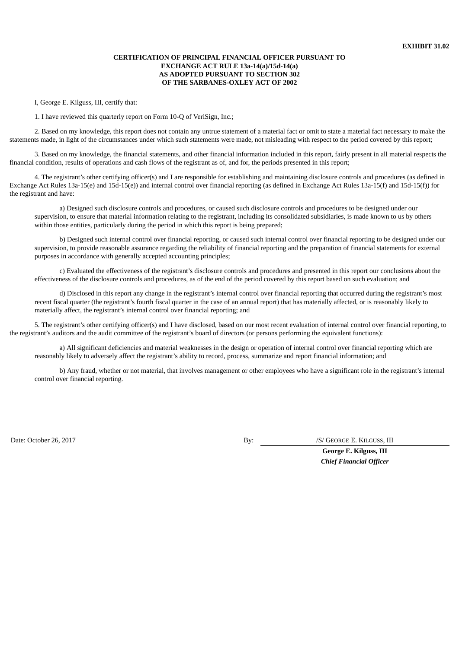## **CERTIFICATION OF PRINCIPAL FINANCIAL OFFICER PURSUANT TO EXCHANGE ACT RULE 13a-14(a)/15d-14(a) AS ADOPTED PURSUANT TO SECTION 302 OF THE SARBANES-OXLEY ACT OF 2002**

<span id="page-35-0"></span>I, George E. Kilguss, III, certify that:

1. I have reviewed this quarterly report on Form 10-Q of VeriSign, Inc.;

2. Based on my knowledge, this report does not contain any untrue statement of a material fact or omit to state a material fact necessary to make the statements made, in light of the circumstances under which such statements were made, not misleading with respect to the period covered by this report;

3. Based on my knowledge, the financial statements, and other financial information included in this report, fairly present in all material respects the financial condition, results of operations and cash flows of the registrant as of, and for, the periods presented in this report;

4. The registrant's other certifying officer(s) and I are responsible for establishing and maintaining disclosure controls and procedures (as defined in Exchange Act Rules 13a-15(e) and 15d-15(e)) and internal control over financial reporting (as defined in Exchange Act Rules 13a-15(f) and 15d-15(f)) for the registrant and have:

a) Designed such disclosure controls and procedures, or caused such disclosure controls and procedures to be designed under our supervision, to ensure that material information relating to the registrant, including its consolidated subsidiaries, is made known to us by others within those entities, particularly during the period in which this report is being prepared;

b) Designed such internal control over financial reporting, or caused such internal control over financial reporting to be designed under our supervision, to provide reasonable assurance regarding the reliability of financial reporting and the preparation of financial statements for external purposes in accordance with generally accepted accounting principles;

c) Evaluated the effectiveness of the registrant's disclosure controls and procedures and presented in this report our conclusions about the effectiveness of the disclosure controls and procedures, as of the end of the period covered by this report based on such evaluation; and

d) Disclosed in this report any change in the registrant's internal control over financial reporting that occurred during the registrant's most recent fiscal quarter (the registrant's fourth fiscal quarter in the case of an annual report) that has materially affected, or is reasonably likely to materially affect, the registrant's internal control over financial reporting; and

5. The registrant's other certifying officer(s) and I have disclosed, based on our most recent evaluation of internal control over financial reporting, to the registrant's auditors and the audit committee of the registrant's board of directors (or persons performing the equivalent functions):

a) All significant deficiencies and material weaknesses in the design or operation of internal control over financial reporting which are reasonably likely to adversely affect the registrant's ability to record, process, summarize and report financial information; and

b) Any fraud, whether or not material, that involves management or other employees who have a significant role in the registrant's internal control over financial reporting.

Date: October 26, 2017 **By:** *By: By: By: S/ GEORGE E. KILGUSS, III* 

**George E. Kilguss, III** *Chief Financial Officer*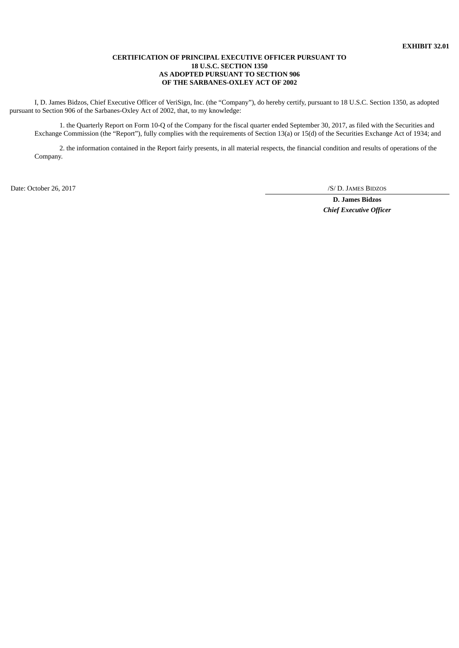## **CERTIFICATION OF PRINCIPAL EXECUTIVE OFFICER PURSUANT TO 18 U.S.C. SECTION 1350 AS ADOPTED PURSUANT TO SECTION 906 OF THE SARBANES-OXLEY ACT OF 2002**

<span id="page-36-0"></span>I, D. James Bidzos, Chief Executive Officer of VeriSign, Inc. (the "Company"), do hereby certify, pursuant to 18 U.S.C. Section 1350, as adopted pursuant to Section 906 of the Sarbanes-Oxley Act of 2002, that, to my knowledge:

1. the Quarterly Report on Form 10-Q of the Company for the fiscal quarter ended September 30, 2017, as filed with the Securities and Exchange Commission (the "Report"), fully complies with the requirements of Section 13(a) or 15(d) of the Securities Exchange Act of 1934; and

2. the information contained in the Report fairly presents, in all material respects, the financial condition and results of operations of the Company.

Date: October 26, 2017 /S/ D. JAMES BIDZOS

**D. James Bidzos** *Chief Executive Officer*